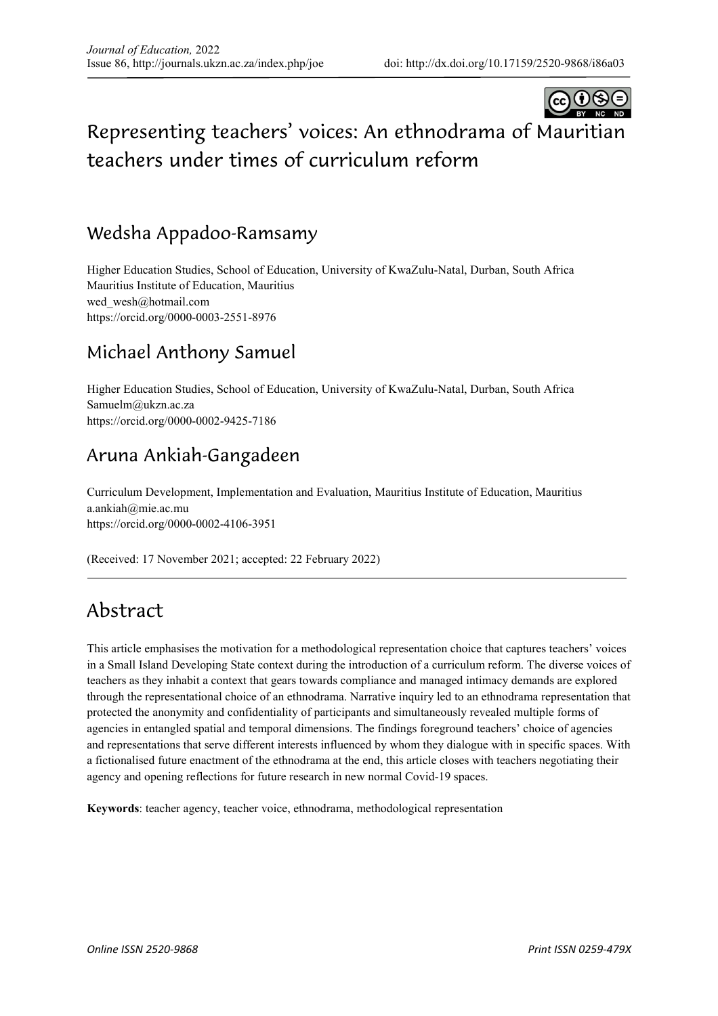

# Representing teachers' voices: An ethnodrama of Mauritian teachers under times of curriculum reform

### Wedsha Appadoo-Ramsamy

Higher Education Studies, School of Education, University of KwaZulu-Natal, Durban, South Africa Mauritius Institute of Education, Mauritius wed\_wesh@hotmail.com https://orcid.org/0000-0003-2551-8976

### Michael Anthony Samuel

Higher Education Studies, School of Education, University of KwaZulu-Natal, Durban, South Africa Samuelm@ukzn.ac.za https://orcid.org/0000-0002-9425-7186

### Aruna Ankiah-Gangadeen

Curriculum Development, Implementation and Evaluation, Mauritius Institute of Education, Mauritius a.ankiah@mie.ac.mu https://orcid.org/0000-0002-4106-3951

(Received: 17 November 2021; accepted: 22 February 2022)

## Abstract

This article emphasises the motivation for a methodological representation choice that captures teachers' voices in a Small Island Developing State context during the introduction of a curriculum reform. The diverse voices of teachers as they inhabit a context that gears towards compliance and managed intimacy demands are explored through the representational choice of an ethnodrama. Narrative inquiry led to an ethnodrama representation that protected the anonymity and confidentiality of participants and simultaneously revealed multiple forms of agencies in entangled spatial and temporal dimensions. The findings foreground teachers' choice of agencies and representations that serve different interests influenced by whom they dialogue with in specific spaces. With a fictionalised future enactment of the ethnodrama at the end, this article closes with teachers negotiating their agency and opening reflections for future research in new normal Covid-19 spaces.

**Keywords**: teacher agency, teacher voice, ethnodrama, methodological representation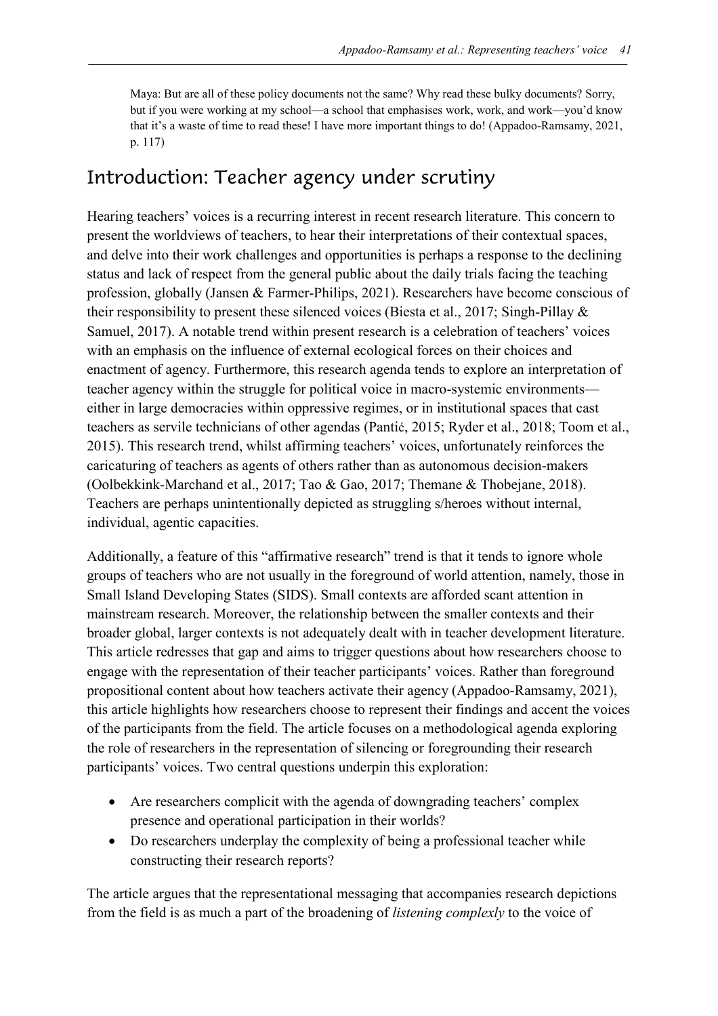Maya: But are all of these policy documents not the same? Why read these bulky documents? Sorry, but if you were working at my school—a school that emphasises work, work, and work—you'd know that it's a waste of time to read these! I have more important things to do! (Appadoo-Ramsamy, 2021, p. 117)

### Introduction: Teacher agency under scrutiny

Hearing teachers' voices is a recurring interest in recent research literature. This concern to present the worldviews of teachers, to hear their interpretations of their contextual spaces, and delve into their work challenges and opportunities is perhaps a response to the declining status and lack of respect from the general public about the daily trials facing the teaching profession, globally (Jansen & Farmer-Philips, 2021). Researchers have become conscious of their responsibility to present these silenced voices (Biesta et al., 2017; Singh-Pillay & Samuel, 2017). A notable trend within present research is a celebration of teachers' voices with an emphasis on the influence of external ecological forces on their choices and enactment of agency. Furthermore, this research agenda tends to explore an interpretation of teacher agency within the struggle for political voice in macro-systemic environments either in large democracies within oppressive regimes, or in institutional spaces that cast teachers as servile technicians of other agendas (Pantić, 2015; Ryder et al., 2018; Toom et al., 2015). This research trend, whilst affirming teachers' voices, unfortunately reinforces the caricaturing of teachers as agents of others rather than as autonomous decision-makers (Oolbekkink-Marchand et al., 2017; Tao & Gao, 2017; Themane & Thobejane, 2018). Teachers are perhaps unintentionally depicted as struggling s/heroes without internal, individual, agentic capacities.

Additionally, a feature of this "affirmative research" trend is that it tends to ignore whole groups of teachers who are not usually in the foreground of world attention, namely, those in Small Island Developing States (SIDS). Small contexts are afforded scant attention in mainstream research. Moreover, the relationship between the smaller contexts and their broader global, larger contexts is not adequately dealt with in teacher development literature. This article redresses that gap and aims to trigger questions about how researchers choose to engage with the representation of their teacher participants' voices. Rather than foreground propositional content about how teachers activate their agency (Appadoo-Ramsamy, 2021), this article highlights how researchers choose to represent their findings and accent the voices of the participants from the field. The article focuses on a methodological agenda exploring the role of researchers in the representation of silencing or foregrounding their research participants' voices. Two central questions underpin this exploration:

- Are researchers complicit with the agenda of downgrading teachers' complex presence and operational participation in their worlds?
- Do researchers underplay the complexity of being a professional teacher while constructing their research reports?

The article argues that the representational messaging that accompanies research depictions from the field is as much a part of the broadening of *listening complexly* to the voice of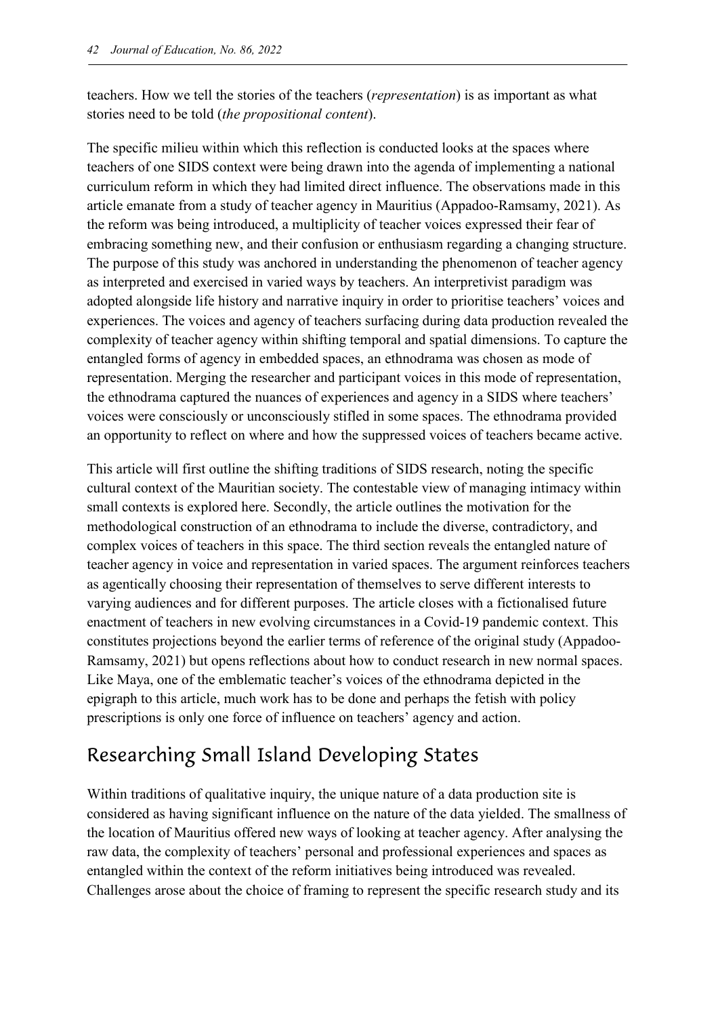teachers. How we tell the stories of the teachers (*representation*) is as important as what stories need to be told (*the propositional content*).

The specific milieu within which this reflection is conducted looks at the spaces where teachers of one SIDS context were being drawn into the agenda of implementing a national curriculum reform in which they had limited direct influence. The observations made in this article emanate from a study of teacher agency in Mauritius (Appadoo-Ramsamy, 2021). As the reform was being introduced, a multiplicity of teacher voices expressed their fear of embracing something new, and their confusion or enthusiasm regarding a changing structure. The purpose of this study was anchored in understanding the phenomenon of teacher agency as interpreted and exercised in varied ways by teachers. An interpretivist paradigm was adopted alongside life history and narrative inquiry in order to prioritise teachers' voices and experiences. The voices and agency of teachers surfacing during data production revealed the complexity of teacher agency within shifting temporal and spatial dimensions. To capture the entangled forms of agency in embedded spaces, an ethnodrama was chosen as mode of representation. Merging the researcher and participant voices in this mode of representation, the ethnodrama captured the nuances of experiences and agency in a SIDS where teachers' voices were consciously or unconsciously stifled in some spaces. The ethnodrama provided an opportunity to reflect on where and how the suppressed voices of teachers became active.

This article will first outline the shifting traditions of SIDS research, noting the specific cultural context of the Mauritian society. The contestable view of managing intimacy within small contexts is explored here. Secondly, the article outlines the motivation for the methodological construction of an ethnodrama to include the diverse, contradictory, and complex voices of teachers in this space. The third section reveals the entangled nature of teacher agency in voice and representation in varied spaces. The argument reinforces teachers as agentically choosing their representation of themselves to serve different interests to varying audiences and for different purposes. The article closes with a fictionalised future enactment of teachers in new evolving circumstances in a Covid-19 pandemic context. This constitutes projections beyond the earlier terms of reference of the original study (Appadoo-Ramsamy, 2021) but opens reflections about how to conduct research in new normal spaces. Like Maya, one of the emblematic teacher's voices of the ethnodrama depicted in the epigraph to this article, much work has to be done and perhaps the fetish with policy prescriptions is only one force of influence on teachers' agency and action.

# Researching Small Island Developing States

Within traditions of qualitative inquiry, the unique nature of a data production site is considered as having significant influence on the nature of the data yielded. The smallness of the location of Mauritius offered new ways of looking at teacher agency. After analysing the raw data, the complexity of teachers' personal and professional experiences and spaces as entangled within the context of the reform initiatives being introduced was revealed. Challenges arose about the choice of framing to represent the specific research study and its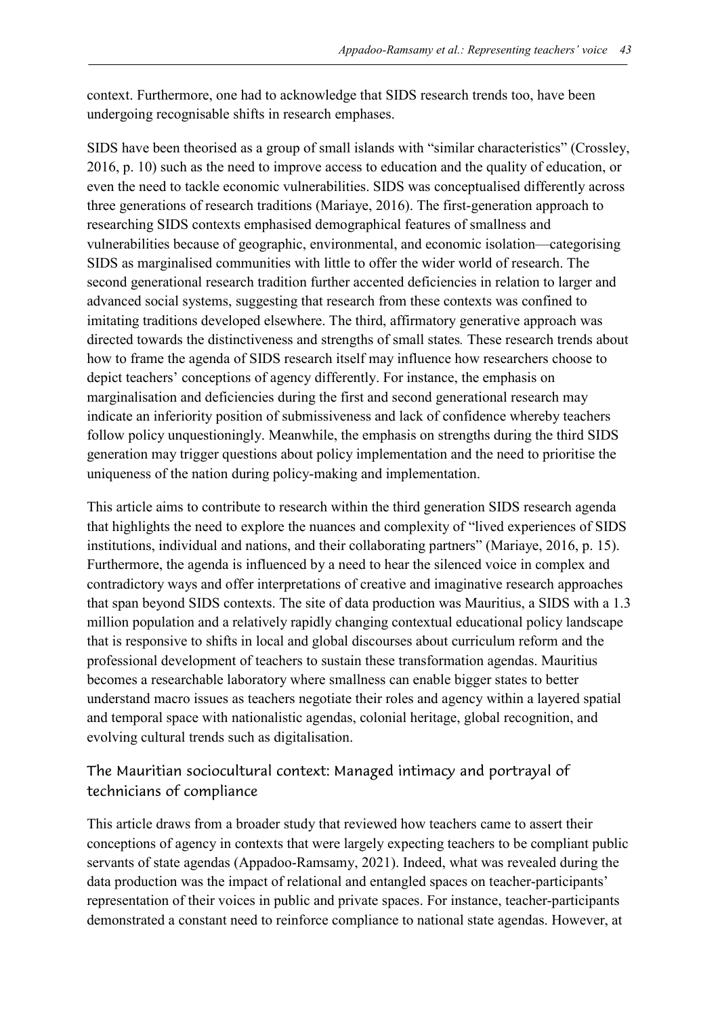context. Furthermore, one had to acknowledge that SIDS research trends too, have been undergoing recognisable shifts in research emphases.

SIDS have been theorised as a group of small islands with "similar characteristics" (Crossley, 2016, p. 10) such as the need to improve access to education and the quality of education, or even the need to tackle economic vulnerabilities. SIDS was conceptualised differently across three generations of research traditions (Mariaye, 2016). The first-generation approach to researching SIDS contexts emphasised demographical features of smallness and vulnerabilities because of geographic, environmental, and economic isolation—categorising SIDS as marginalised communities with little to offer the wider world of research. The second generational research tradition further accented deficiencies in relation to larger and advanced social systems, suggesting that research from these contexts was confined to imitating traditions developed elsewhere. The third, affirmatory generative approach was directed towards the distinctiveness and strengths of small states*.* These research trends about how to frame the agenda of SIDS research itself may influence how researchers choose to depict teachers' conceptions of agency differently. For instance, the emphasis on marginalisation and deficiencies during the first and second generational research may indicate an inferiority position of submissiveness and lack of confidence whereby teachers follow policy unquestioningly. Meanwhile, the emphasis on strengths during the third SIDS generation may trigger questions about policy implementation and the need to prioritise the uniqueness of the nation during policy-making and implementation.

This article aims to contribute to research within the third generation SIDS research agenda that highlights the need to explore the nuances and complexity of "lived experiences of SIDS institutions, individual and nations, and their collaborating partners" (Mariaye, 2016, p. 15). Furthermore, the agenda is influenced by a need to hear the silenced voice in complex and contradictory ways and offer interpretations of creative and imaginative research approaches that span beyond SIDS contexts. The site of data production was Mauritius, a SIDS with a 1.3 million population and a relatively rapidly changing contextual educational policy landscape that is responsive to shifts in local and global discourses about curriculum reform and the professional development of teachers to sustain these transformation agendas. Mauritius becomes a researchable laboratory where smallness can enable bigger states to better understand macro issues as teachers negotiate their roles and agency within a layered spatial and temporal space with nationalistic agendas, colonial heritage, global recognition, and evolving cultural trends such as digitalisation.

#### The Mauritian sociocultural context: Managed intimacy and portrayal of technicians of compliance

This article draws from a broader study that reviewed how teachers came to assert their conceptions of agency in contexts that were largely expecting teachers to be compliant public servants of state agendas (Appadoo-Ramsamy, 2021). Indeed, what was revealed during the data production was the impact of relational and entangled spaces on teacher-participants' representation of their voices in public and private spaces. For instance, teacher-participants demonstrated a constant need to reinforce compliance to national state agendas. However, at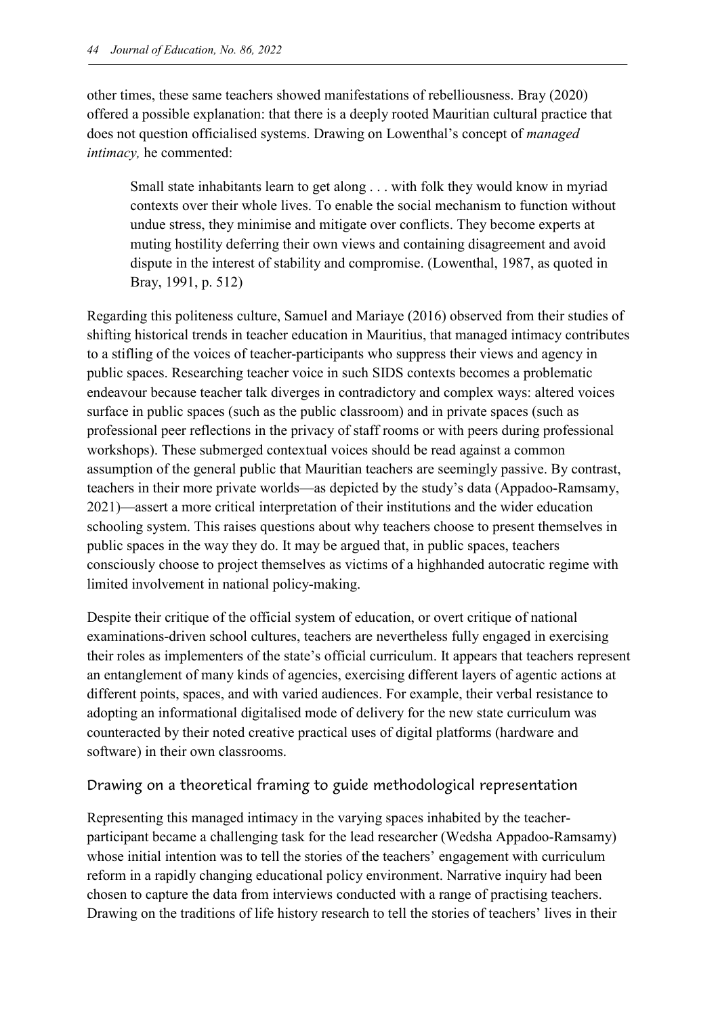other times, these same teachers showed manifestations of rebelliousness. Bray (2020) offered a possible explanation: that there is a deeply rooted Mauritian cultural practice that does not question officialised systems. Drawing on Lowenthal's concept of *managed intimacy,* he commented:

Small state inhabitants learn to get along . . . with folk they would know in myriad contexts over their whole lives. To enable the social mechanism to function without undue stress, they minimise and mitigate over conflicts. They become experts at muting hostility deferring their own views and containing disagreement and avoid dispute in the interest of stability and compromise. (Lowenthal, 1987, as quoted in Bray, 1991, p. 512)

Regarding this politeness culture, Samuel and Mariaye (2016) observed from their studies of shifting historical trends in teacher education in Mauritius, that managed intimacy contributes to a stifling of the voices of teacher-participants who suppress their views and agency in public spaces. Researching teacher voice in such SIDS contexts becomes a problematic endeavour because teacher talk diverges in contradictory and complex ways: altered voices surface in public spaces (such as the public classroom) and in private spaces (such as professional peer reflections in the privacy of staff rooms or with peers during professional workshops). These submerged contextual voices should be read against a common assumption of the general public that Mauritian teachers are seemingly passive. By contrast, teachers in their more private worlds—as depicted by the study's data (Appadoo-Ramsamy, 2021)—assert a more critical interpretation of their institutions and the wider education schooling system. This raises questions about why teachers choose to present themselves in public spaces in the way they do. It may be argued that, in public spaces, teachers consciously choose to project themselves as victims of a highhanded autocratic regime with limited involvement in national policy-making.

Despite their critique of the official system of education, or overt critique of national examinations-driven school cultures, teachers are nevertheless fully engaged in exercising their roles as implementers of the state's official curriculum. It appears that teachers represent an entanglement of many kinds of agencies, exercising different layers of agentic actions at different points, spaces, and with varied audiences. For example, their verbal resistance to adopting an informational digitalised mode of delivery for the new state curriculum was counteracted by their noted creative practical uses of digital platforms (hardware and software) in their own classrooms.

#### Drawing on a theoretical framing to guide methodological representation

Representing this managed intimacy in the varying spaces inhabited by the teacherparticipant became a challenging task for the lead researcher (Wedsha Appadoo-Ramsamy) whose initial intention was to tell the stories of the teachers' engagement with curriculum reform in a rapidly changing educational policy environment. Narrative inquiry had been chosen to capture the data from interviews conducted with a range of practising teachers. Drawing on the traditions of life history research to tell the stories of teachers' lives in their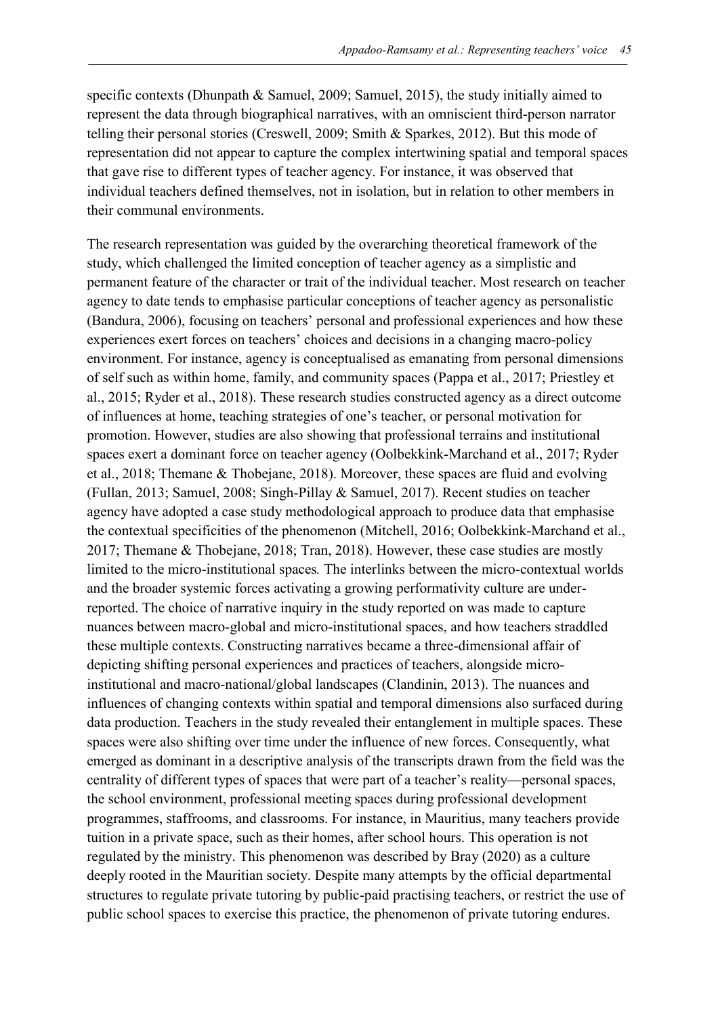specific contexts (Dhunpath & Samuel, 2009; Samuel, 2015), the study initially aimed to represent the data through biographical narratives, with an omniscient third-person narrator telling their personal stories (Creswell, 2009; Smith & Sparkes, 2012). But this mode of representation did not appear to capture the complex intertwining spatial and temporal spaces that gave rise to different types of teacher agency. For instance, it was observed that individual teachers defined themselves, not in isolation, but in relation to other members in their communal environments.

The research representation was guided by the overarching theoretical framework of the study, which challenged the limited conception of teacher agency as a simplistic and permanent feature of the character or trait of the individual teacher. Most research on teacher agency to date tends to emphasise particular conceptions of teacher agency as personalistic (Bandura, 2006), focusing on teachers' personal and professional experiences and how these experiences exert forces on teachers' choices and decisions in a changing macro-policy environment. For instance, agency is conceptualised as emanating from personal dimensions of self such as within home, family, and community spaces (Pappa et al., 2017; Priestley et al., 2015; Ryder et al., 2018). These research studies constructed agency as a direct outcome of influences at home, teaching strategies of one's teacher, or personal motivation for promotion. However, studies are also showing that professional terrains and institutional spaces exert a dominant force on teacher agency (Oolbekkink-Marchand et al., 2017; Ryder et al., 2018; Themane & Thobejane, 2018). Moreover, these spaces are fluid and evolving (Fullan, 2013; Samuel, 2008; Singh-Pillay & Samuel, 2017). Recent studies on teacher agency have adopted a case study methodological approach to produce data that emphasise the contextual specificities of the phenomenon (Mitchell, 2016; Oolbekkink-Marchand et al., 2017; Themane & Thobejane, 2018; Tran, 2018). However, these case studies are mostly limited to the micro-institutional spaces*.* The interlinks between the micro-contextual worlds and the broader systemic forces activating a growing performativity culture are underreported. The choice of narrative inquiry in the study reported on was made to capture nuances between macro-global and micro-institutional spaces, and how teachers straddled these multiple contexts. Constructing narratives became a three-dimensional affair of depicting shifting personal experiences and practices of teachers, alongside microinstitutional and macro-national/global landscapes (Clandinin, 2013). The nuances and influences of changing contexts within spatial and temporal dimensions also surfaced during data production. Teachers in the study revealed their entanglement in multiple spaces. These spaces were also shifting over time under the influence of new forces. Consequently, what emerged as dominant in a descriptive analysis of the transcripts drawn from the field was the centrality of different types of spaces that were part of a teacher's reality—personal spaces, the school environment, professional meeting spaces during professional development programmes, staffrooms, and classrooms. For instance, in Mauritius, many teachers provide tuition in a private space, such as their homes, after school hours. This operation is not regulated by the ministry. This phenomenon was described by Bray (2020) as a culture deeply rooted in the Mauritian society. Despite many attempts by the official departmental structures to regulate private tutoring by public-paid practising teachers, or restrict the use of public school spaces to exercise this practice, the phenomenon of private tutoring endures.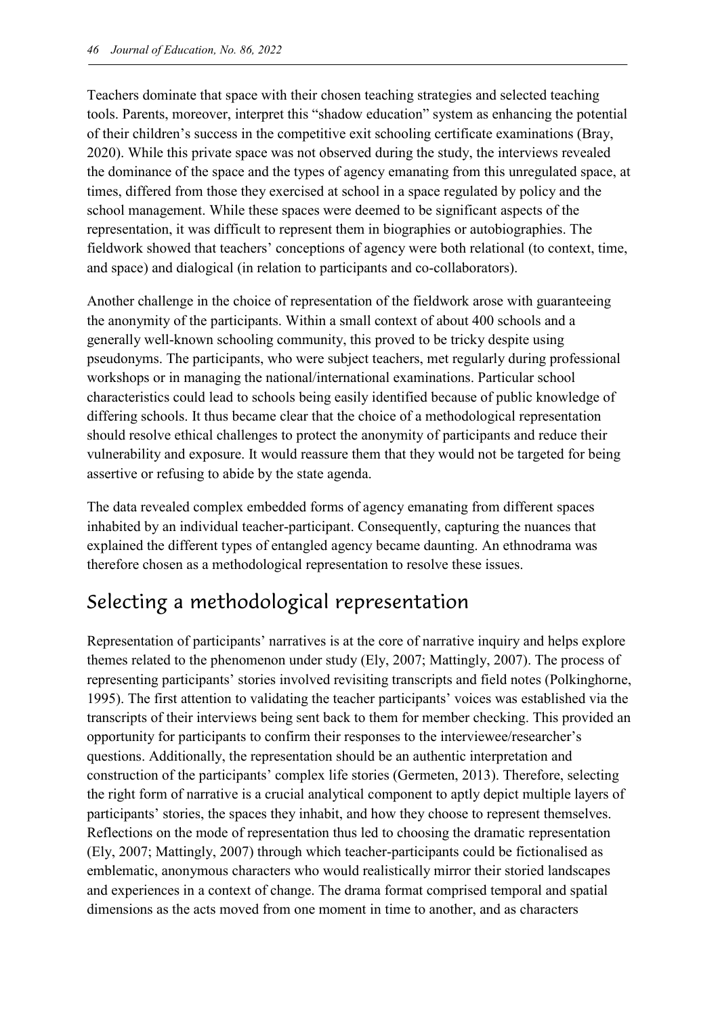Teachers dominate that space with their chosen teaching strategies and selected teaching tools. Parents, moreover, interpret this "shadow education" system as enhancing the potential of their children's success in the competitive exit schooling certificate examinations (Bray, 2020). While this private space was not observed during the study, the interviews revealed the dominance of the space and the types of agency emanating from this unregulated space, at times, differed from those they exercised at school in a space regulated by policy and the school management. While these spaces were deemed to be significant aspects of the representation, it was difficult to represent them in biographies or autobiographies. The fieldwork showed that teachers' conceptions of agency were both relational (to context, time, and space) and dialogical (in relation to participants and co-collaborators).

Another challenge in the choice of representation of the fieldwork arose with guaranteeing the anonymity of the participants. Within a small context of about 400 schools and a generally well-known schooling community, this proved to be tricky despite using pseudonyms. The participants, who were subject teachers, met regularly during professional workshops or in managing the national/international examinations. Particular school characteristics could lead to schools being easily identified because of public knowledge of differing schools. It thus became clear that the choice of a methodological representation should resolve ethical challenges to protect the anonymity of participants and reduce their vulnerability and exposure. It would reassure them that they would not be targeted for being assertive or refusing to abide by the state agenda.

The data revealed complex embedded forms of agency emanating from different spaces inhabited by an individual teacher-participant. Consequently, capturing the nuances that explained the different types of entangled agency became daunting. An ethnodrama was therefore chosen as a methodological representation to resolve these issues.

## Selecting a methodological representation

Representation of participants' narratives is at the core of narrative inquiry and helps explore themes related to the phenomenon under study (Ely, 2007; Mattingly, 2007). The process of representing participants' stories involved revisiting transcripts and field notes (Polkinghorne, 1995). The first attention to validating the teacher participants' voices was established via the transcripts of their interviews being sent back to them for member checking. This provided an opportunity for participants to confirm their responses to the interviewee/researcher's questions. Additionally, the representation should be an authentic interpretation and construction of the participants' complex life stories (Germeten, 2013). Therefore, selecting the right form of narrative is a crucial analytical component to aptly depict multiple layers of participants' stories, the spaces they inhabit, and how they choose to represent themselves. Reflections on the mode of representation thus led to choosing the dramatic representation (Ely, 2007; Mattingly, 2007) through which teacher-participants could be fictionalised as emblematic, anonymous characters who would realistically mirror their storied landscapes and experiences in a context of change. The drama format comprised temporal and spatial dimensions as the acts moved from one moment in time to another, and as characters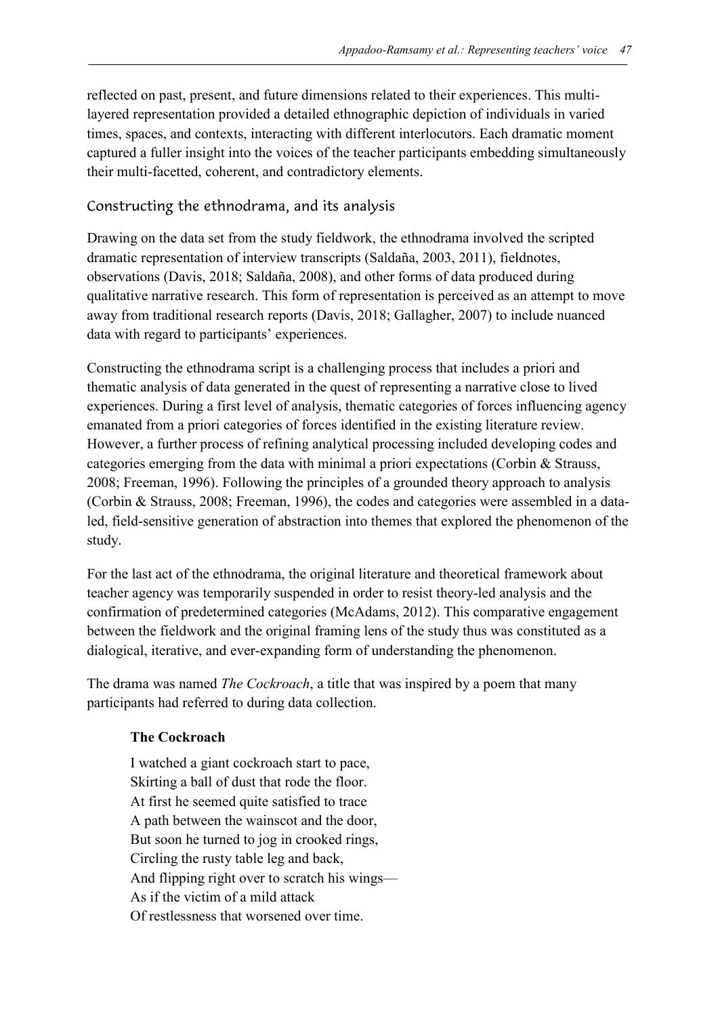reflected on past, present, and future dimensions related to their experiences. This multilayered representation provided a detailed ethnographic depiction of individuals in varied times, spaces, and contexts, interacting with different interlocutors. Each dramatic moment captured a fuller insight into the voices of the teacher participants embedding simultaneously their multi-facetted, coherent, and contradictory elements.

#### Constructing the ethnodrama, and its analysis

Drawing on the data set from the study fieldwork, the ethnodrama involved the scripted dramatic representation of interview transcripts (Saldaña, 2003, 2011), fieldnotes, observations (Davis, 2018; Saldaña, 2008), and other forms of data produced during qualitative narrative research. This form of representation is perceived as an attempt to move away from traditional research reports (Davis, 2018; Gallagher, 2007) to include nuanced data with regard to participants' experiences.

Constructing the ethnodrama script is a challenging process that includes a priori and thematic analysis of data generated in the quest of representing a narrative close to lived experiences. During a first level of analysis, thematic categories of forces influencing agency emanated from a priori categories of forces identified in the existing literature review. However, a further process of refining analytical processing included developing codes and categories emerging from the data with minimal a priori expectations (Corbin & Strauss, 2008; Freeman, 1996). Following the principles of a grounded theory approach to analysis (Corbin & Strauss, 2008; Freeman, 1996), the codes and categories were assembled in a dataled, field-sensitive generation of abstraction into themes that explored the phenomenon of the study.

For the last act of the ethnodrama, the original literature and theoretical framework about teacher agency was temporarily suspended in order to resist theory-led analysis and the confirmation of predetermined categories (McAdams, 2012). This comparative engagement between the fieldwork and the original framing lens of the study thus was constituted as a dialogical, iterative, and ever-expanding form of understanding the phenomenon.

The drama was named *The Cockroach*, a title that was inspired by a poem that many participants had referred to during data collection.

#### **The Cockroach**

I watched a giant cockroach start to pace, Skirting a ball of dust that rode the floor. At first he seemed quite satisfied to trace A path between the wainscot and the door, But soon he turned to jog in crooked rings, Circling the rusty table leg and back, And flipping right over to scratch his wings— As if the victim of a mild attack Of restlessness that worsened over time.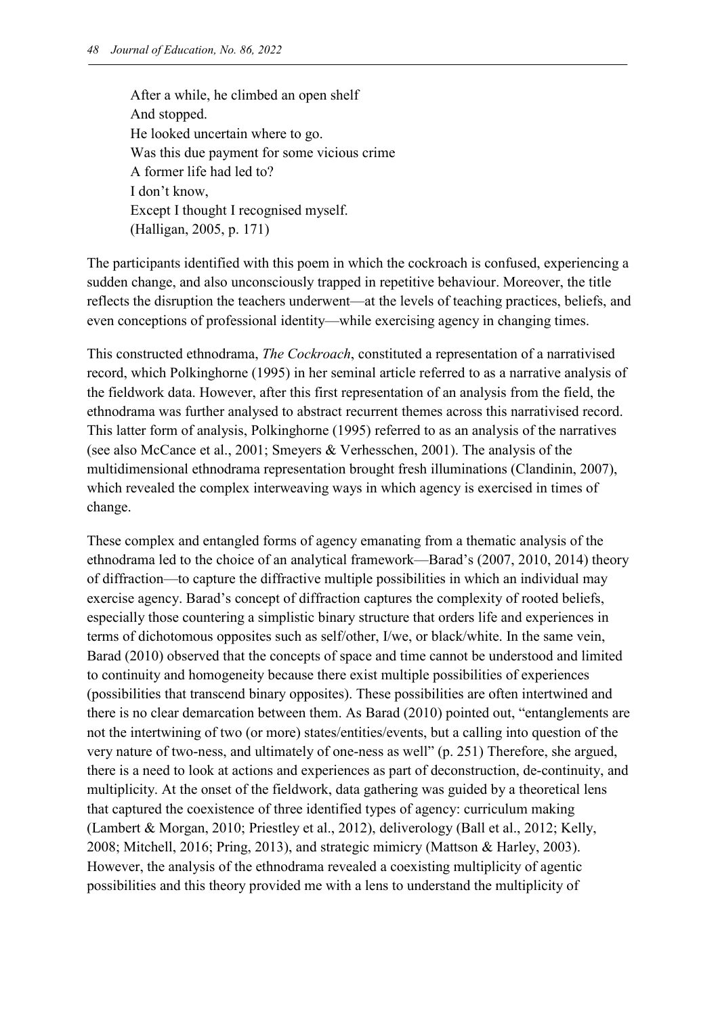After a while, he climbed an open shelf And stopped. He looked uncertain where to go. Was this due payment for some vicious crime A former life had led to? I don't know, Except I thought I recognised myself. (Halligan, 2005, p. 171)

The participants identified with this poem in which the cockroach is confused, experiencing a sudden change, and also unconsciously trapped in repetitive behaviour. Moreover, the title reflects the disruption the teachers underwent—at the levels of teaching practices, beliefs, and even conceptions of professional identity—while exercising agency in changing times.

This constructed ethnodrama, *The Cockroach*, constituted a representation of a narrativised record, which Polkinghorne (1995) in her seminal article referred to as a narrative analysis of the fieldwork data. However, after this first representation of an analysis from the field, the ethnodrama was further analysed to abstract recurrent themes across this narrativised record. This latter form of analysis, Polkinghorne (1995) referred to as an analysis of the narratives (see also McCance et al., 2001; Smeyers & Verhesschen, 2001). The analysis of the multidimensional ethnodrama representation brought fresh illuminations (Clandinin, 2007), which revealed the complex interweaving ways in which agency is exercised in times of change.

These complex and entangled forms of agency emanating from a thematic analysis of the ethnodrama led to the choice of an analytical framework—Barad's (2007, 2010, 2014) theory of diffraction—to capture the diffractive multiple possibilities in which an individual may exercise agency. Barad's concept of diffraction captures the complexity of rooted beliefs, especially those countering a simplistic binary structure that orders life and experiences in terms of dichotomous opposites such as self/other, I/we, or black/white. In the same vein, Barad (2010) observed that the concepts of space and time cannot be understood and limited to continuity and homogeneity because there exist multiple possibilities of experiences (possibilities that transcend binary opposites). These possibilities are often intertwined and there is no clear demarcation between them. As Barad (2010) pointed out, "entanglements are not the intertwining of two (or more) states/entities/events, but a calling into question of the very nature of two-ness, and ultimately of one-ness as well" (p. 251) Therefore, she argued, there is a need to look at actions and experiences as part of deconstruction, de-continuity, and multiplicity. At the onset of the fieldwork, data gathering was guided by a theoretical lens that captured the coexistence of three identified types of agency: curriculum making (Lambert & Morgan, 2010; Priestley et al., 2012), deliverology (Ball et al., 2012; Kelly, 2008; Mitchell, 2016; Pring, 2013), and strategic mimicry (Mattson & Harley, 2003). However, the analysis of the ethnodrama revealed a coexisting multiplicity of agentic possibilities and this theory provided me with a lens to understand the multiplicity of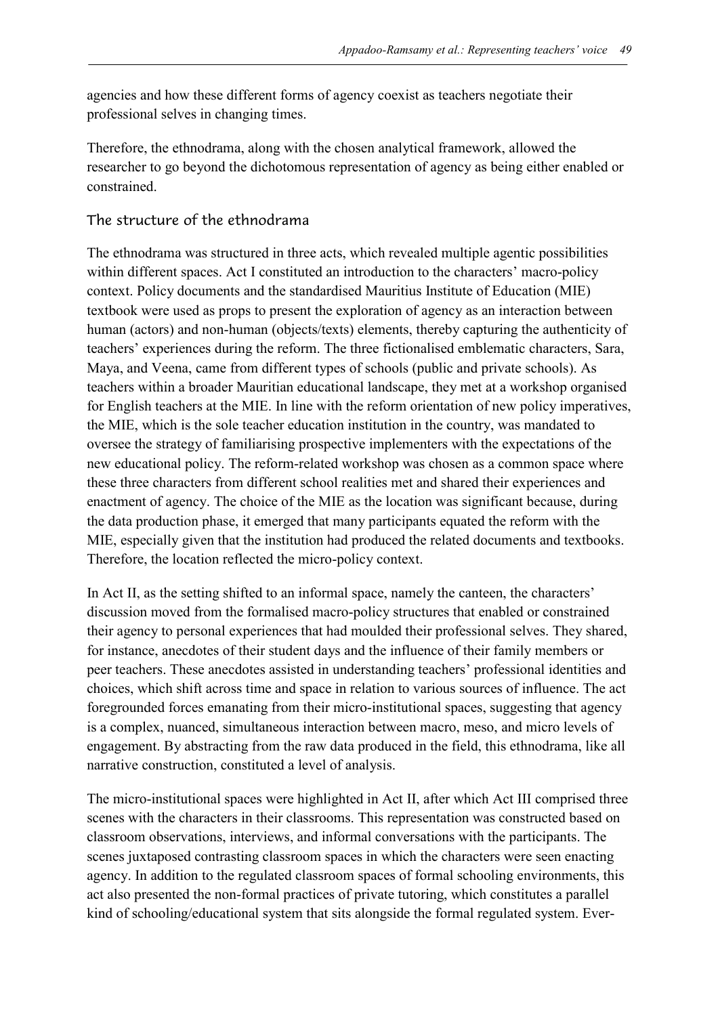agencies and how these different forms of agency coexist as teachers negotiate their professional selves in changing times.

Therefore, the ethnodrama, along with the chosen analytical framework, allowed the researcher to go beyond the dichotomous representation of agency as being either enabled or constrained.

#### The structure of the ethnodrama

The ethnodrama was structured in three acts, which revealed multiple agentic possibilities within different spaces. Act I constituted an introduction to the characters' macro-policy context. Policy documents and the standardised Mauritius Institute of Education (MIE) textbook were used as props to present the exploration of agency as an interaction between human (actors) and non-human (objects/texts) elements, thereby capturing the authenticity of teachers' experiences during the reform. The three fictionalised emblematic characters, Sara, Maya, and Veena, came from different types of schools (public and private schools). As teachers within a broader Mauritian educational landscape, they met at a workshop organised for English teachers at the MIE. In line with the reform orientation of new policy imperatives, the MIE, which is the sole teacher education institution in the country, was mandated to oversee the strategy of familiarising prospective implementers with the expectations of the new educational policy. The reform-related workshop was chosen as a common space where these three characters from different school realities met and shared their experiences and enactment of agency. The choice of the MIE as the location was significant because, during the data production phase, it emerged that many participants equated the reform with the MIE, especially given that the institution had produced the related documents and textbooks. Therefore, the location reflected the micro-policy context.

In Act II, as the setting shifted to an informal space, namely the canteen, the characters' discussion moved from the formalised macro-policy structures that enabled or constrained their agency to personal experiences that had moulded their professional selves. They shared, for instance, anecdotes of their student days and the influence of their family members or peer teachers. These anecdotes assisted in understanding teachers' professional identities and choices, which shift across time and space in relation to various sources of influence. The act foregrounded forces emanating from their micro-institutional spaces, suggesting that agency is a complex, nuanced, simultaneous interaction between macro, meso, and micro levels of engagement. By abstracting from the raw data produced in the field, this ethnodrama, like all narrative construction, constituted a level of analysis.

The micro-institutional spaces were highlighted in Act II, after which Act III comprised three scenes with the characters in their classrooms. This representation was constructed based on classroom observations, interviews, and informal conversations with the participants. The scenes juxtaposed contrasting classroom spaces in which the characters were seen enacting agency. In addition to the regulated classroom spaces of formal schooling environments, this act also presented the non-formal practices of private tutoring, which constitutes a parallel kind of schooling/educational system that sits alongside the formal regulated system. Ever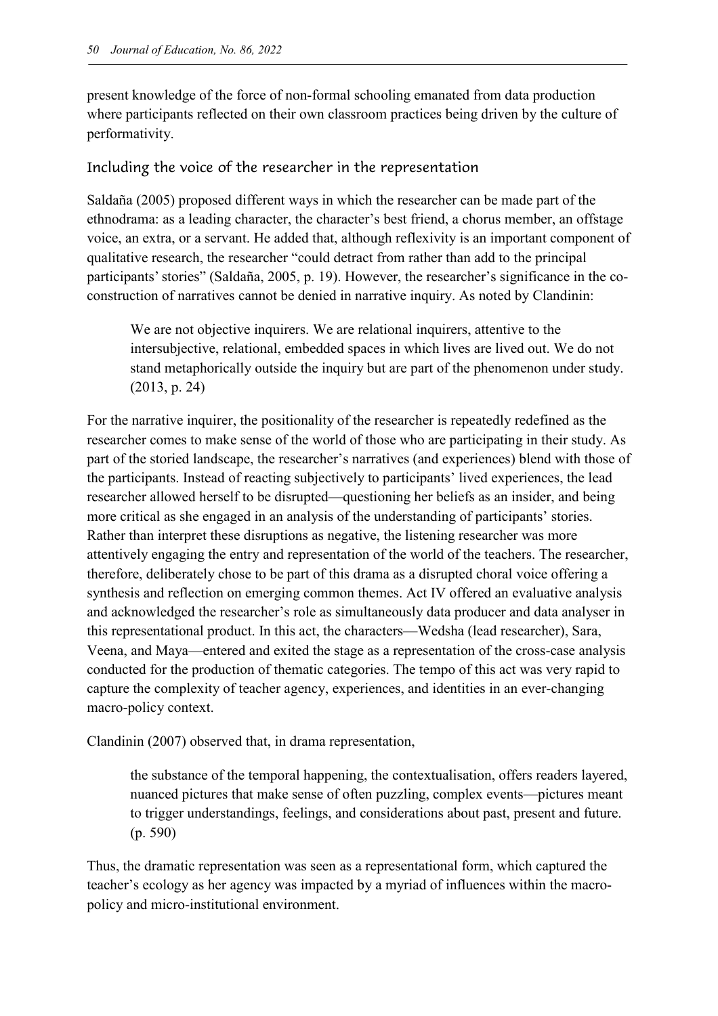present knowledge of the force of non-formal schooling emanated from data production where participants reflected on their own classroom practices being driven by the culture of performativity.

Including the voice of the researcher in the representation

Saldaña (2005) proposed different ways in which the researcher can be made part of the ethnodrama: as a leading character, the character's best friend, a chorus member, an offstage voice, an extra, or a servant. He added that, although reflexivity is an important component of qualitative research, the researcher "could detract from rather than add to the principal participants' stories" (Saldaña, 2005, p. 19). However, the researcher's significance in the coconstruction of narratives cannot be denied in narrative inquiry. As noted by Clandinin:

We are not objective inquirers. We are relational inquirers, attentive to the intersubjective, relational, embedded spaces in which lives are lived out. We do not stand metaphorically outside the inquiry but are part of the phenomenon under study. (2013, p. 24)

For the narrative inquirer, the positionality of the researcher is repeatedly redefined as the researcher comes to make sense of the world of those who are participating in their study. As part of the storied landscape, the researcher's narratives (and experiences) blend with those of the participants. Instead of reacting subjectively to participants' lived experiences, the lead researcher allowed herself to be disrupted—questioning her beliefs as an insider, and being more critical as she engaged in an analysis of the understanding of participants' stories. Rather than interpret these disruptions as negative, the listening researcher was more attentively engaging the entry and representation of the world of the teachers. The researcher, therefore, deliberately chose to be part of this drama as a disrupted choral voice offering a synthesis and reflection on emerging common themes. Act IV offered an evaluative analysis and acknowledged the researcher's role as simultaneously data producer and data analyser in this representational product. In this act, the characters—Wedsha (lead researcher), Sara, Veena, and Maya—entered and exited the stage as a representation of the cross-case analysis conducted for the production of thematic categories. The tempo of this act was very rapid to capture the complexity of teacher agency, experiences, and identities in an ever-changing macro-policy context.

Clandinin (2007) observed that, in drama representation,

the substance of the temporal happening, the contextualisation, offers readers layered, nuanced pictures that make sense of often puzzling, complex events—pictures meant to trigger understandings, feelings, and considerations about past, present and future. (p. 590)

Thus, the dramatic representation was seen as a representational form, which captured the teacher's ecology as her agency was impacted by a myriad of influences within the macropolicy and micro-institutional environment.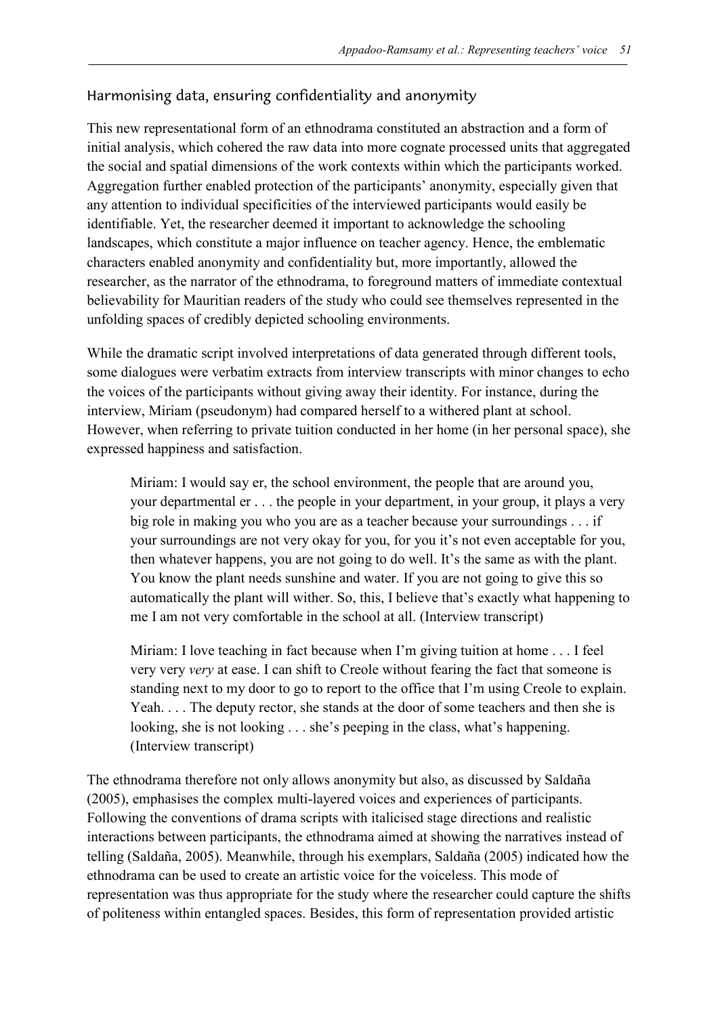#### Harmonising data, ensuring confidentiality and anonymity

This new representational form of an ethnodrama constituted an abstraction and a form of initial analysis, which cohered the raw data into more cognate processed units that aggregated the social and spatial dimensions of the work contexts within which the participants worked. Aggregation further enabled protection of the participants' anonymity, especially given that any attention to individual specificities of the interviewed participants would easily be identifiable. Yet, the researcher deemed it important to acknowledge the schooling landscapes, which constitute a major influence on teacher agency. Hence, the emblematic characters enabled anonymity and confidentiality but, more importantly, allowed the researcher, as the narrator of the ethnodrama, to foreground matters of immediate contextual believability for Mauritian readers of the study who could see themselves represented in the unfolding spaces of credibly depicted schooling environments.

While the dramatic script involved interpretations of data generated through different tools, some dialogues were verbatim extracts from interview transcripts with minor changes to echo the voices of the participants without giving away their identity. For instance, during the interview, Miriam (pseudonym) had compared herself to a withered plant at school. However, when referring to private tuition conducted in her home (in her personal space), she expressed happiness and satisfaction.

Miriam: I would say er, the school environment, the people that are around you, your departmental er . . . the people in your department, in your group, it plays a very big role in making you who you are as a teacher because your surroundings . . . if your surroundings are not very okay for you, for you it's not even acceptable for you, then whatever happens, you are not going to do well. It's the same as with the plant. You know the plant needs sunshine and water. If you are not going to give this so automatically the plant will wither. So, this, I believe that's exactly what happening to me I am not very comfortable in the school at all. (Interview transcript)

Miriam: I love teaching in fact because when I'm giving tuition at home . . . I feel very very *very* at ease. I can shift to Creole without fearing the fact that someone is standing next to my door to go to report to the office that I'm using Creole to explain. Yeah. . . . The deputy rector, she stands at the door of some teachers and then she is looking, she is not looking . . . she's peeping in the class, what's happening. (Interview transcript)

The ethnodrama therefore not only allows anonymity but also, as discussed by Saldaña (2005), emphasises the complex multi-layered voices and experiences of participants. Following the conventions of drama scripts with italicised stage directions and realistic interactions between participants, the ethnodrama aimed at showing the narratives instead of telling (Saldaña, 2005). Meanwhile, through his exemplars, Saldaña (2005) indicated how the ethnodrama can be used to create an artistic voice for the voiceless. This mode of representation was thus appropriate for the study where the researcher could capture the shifts of politeness within entangled spaces. Besides, this form of representation provided artistic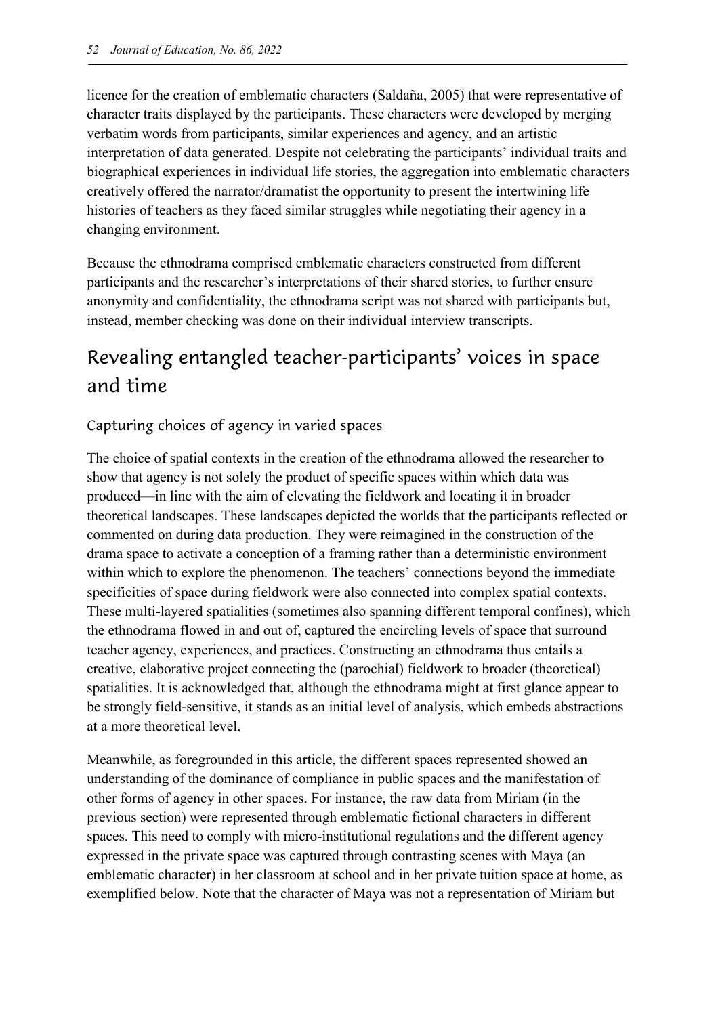licence for the creation of emblematic characters (Saldaña, 2005) that were representative of character traits displayed by the participants. These characters were developed by merging verbatim words from participants, similar experiences and agency, and an artistic interpretation of data generated. Despite not celebrating the participants' individual traits and biographical experiences in individual life stories, the aggregation into emblematic characters creatively offered the narrator/dramatist the opportunity to present the intertwining life histories of teachers as they faced similar struggles while negotiating their agency in a changing environment.

Because the ethnodrama comprised emblematic characters constructed from different participants and the researcher's interpretations of their shared stories, to further ensure anonymity and confidentiality, the ethnodrama script was not shared with participants but, instead, member checking was done on their individual interview transcripts.

# Revealing entangled teacher-participants' voices in space and time

#### Capturing choices of agency in varied spaces

The choice of spatial contexts in the creation of the ethnodrama allowed the researcher to show that agency is not solely the product of specific spaces within which data was produced—in line with the aim of elevating the fieldwork and locating it in broader theoretical landscapes. These landscapes depicted the worlds that the participants reflected or commented on during data production. They were reimagined in the construction of the drama space to activate a conception of a framing rather than a deterministic environment within which to explore the phenomenon. The teachers' connections beyond the immediate specificities of space during fieldwork were also connected into complex spatial contexts. These multi-layered spatialities (sometimes also spanning different temporal confines), which the ethnodrama flowed in and out of, captured the encircling levels of space that surround teacher agency, experiences, and practices. Constructing an ethnodrama thus entails a creative, elaborative project connecting the (parochial) fieldwork to broader (theoretical) spatialities. It is acknowledged that, although the ethnodrama might at first glance appear to be strongly field-sensitive, it stands as an initial level of analysis, which embeds abstractions at a more theoretical level.

Meanwhile, as foregrounded in this article, the different spaces represented showed an understanding of the dominance of compliance in public spaces and the manifestation of other forms of agency in other spaces. For instance, the raw data from Miriam (in the previous section) were represented through emblematic fictional characters in different spaces. This need to comply with micro-institutional regulations and the different agency expressed in the private space was captured through contrasting scenes with Maya (an emblematic character) in her classroom at school and in her private tuition space at home, as exemplified below. Note that the character of Maya was not a representation of Miriam but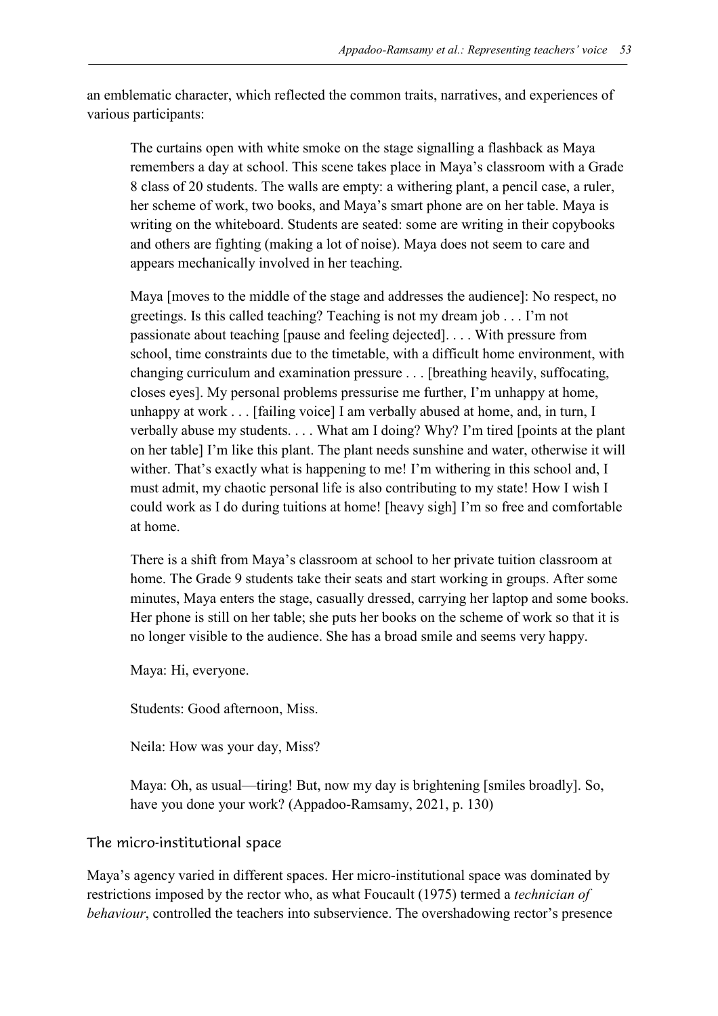an emblematic character, which reflected the common traits, narratives, and experiences of various participants:

The curtains open with white smoke on the stage signalling a flashback as Maya remembers a day at school. This scene takes place in Maya's classroom with a Grade 8 class of 20 students. The walls are empty: a withering plant, a pencil case, a ruler, her scheme of work, two books, and Maya's smart phone are on her table. Maya is writing on the whiteboard. Students are seated: some are writing in their copybooks and others are fighting (making a lot of noise). Maya does not seem to care and appears mechanically involved in her teaching.

Maya [moves to the middle of the stage and addresses the audience]: No respect, no greetings. Is this called teaching? Teaching is not my dream job . . . I'm not passionate about teaching [pause and feeling dejected]. . . . With pressure from school, time constraints due to the timetable, with a difficult home environment, with changing curriculum and examination pressure . . . [breathing heavily, suffocating, closes eyes]. My personal problems pressurise me further, I'm unhappy at home, unhappy at work . . . [failing voice] I am verbally abused at home, and, in turn, I verbally abuse my students. . . . What am I doing? Why? I'm tired [points at the plant on her table] I'm like this plant. The plant needs sunshine and water, otherwise it will wither. That's exactly what is happening to me! I'm withering in this school and, I must admit, my chaotic personal life is also contributing to my state! How I wish I could work as I do during tuitions at home! [heavy sigh] I'm so free and comfortable at home.

There is a shift from Maya's classroom at school to her private tuition classroom at home. The Grade 9 students take their seats and start working in groups. After some minutes, Maya enters the stage, casually dressed, carrying her laptop and some books. Her phone is still on her table; she puts her books on the scheme of work so that it is no longer visible to the audience. She has a broad smile and seems very happy.

Maya: Hi, everyone.

Students: Good afternoon, Miss.

Neila: How was your day, Miss?

Maya: Oh, as usual—tiring! But, now my day is brightening [smiles broadly]. So, have you done your work? (Appadoo-Ramsamy, 2021, p. 130)

#### The micro-institutional space

Maya's agency varied in different spaces. Her micro-institutional space was dominated by restrictions imposed by the rector who, as what Foucault (1975) termed a *technician of behaviour*, controlled the teachers into subservience. The overshadowing rector's presence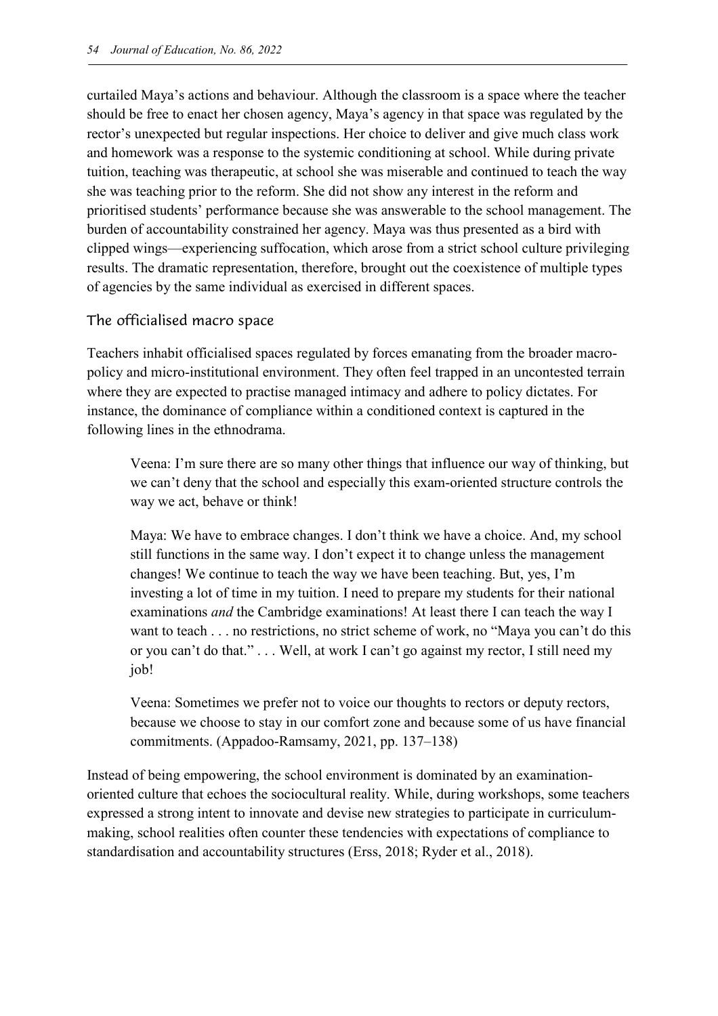curtailed Maya's actions and behaviour. Although the classroom is a space where the teacher should be free to enact her chosen agency, Maya's agency in that space was regulated by the rector's unexpected but regular inspections. Her choice to deliver and give much class work and homework was a response to the systemic conditioning at school. While during private tuition, teaching was therapeutic, at school she was miserable and continued to teach the way she was teaching prior to the reform. She did not show any interest in the reform and prioritised students' performance because she was answerable to the school management. The burden of accountability constrained her agency. Maya was thus presented as a bird with clipped wings—experiencing suffocation, which arose from a strict school culture privileging results. The dramatic representation, therefore, brought out the coexistence of multiple types of agencies by the same individual as exercised in different spaces.

#### The officialised macro space

Teachers inhabit officialised spaces regulated by forces emanating from the broader macropolicy and micro-institutional environment. They often feel trapped in an uncontested terrain where they are expected to practise managed intimacy and adhere to policy dictates. For instance, the dominance of compliance within a conditioned context is captured in the following lines in the ethnodrama.

Veena: I'm sure there are so many other things that influence our way of thinking, but we can't deny that the school and especially this exam-oriented structure controls the way we act, behave or think!

Maya: We have to embrace changes. I don't think we have a choice. And, my school still functions in the same way. I don't expect it to change unless the management changes! We continue to teach the way we have been teaching. But, yes, I'm investing a lot of time in my tuition. I need to prepare my students for their national examinations *and* the Cambridge examinations! At least there I can teach the way I want to teach . . . no restrictions, no strict scheme of work, no "Maya you can't do this or you can't do that." . . . Well, at work I can't go against my rector, I still need my job!

Veena: Sometimes we prefer not to voice our thoughts to rectors or deputy rectors, because we choose to stay in our comfort zone and because some of us have financial commitments. (Appadoo-Ramsamy, 2021, pp. 137–138)

Instead of being empowering, the school environment is dominated by an examinationoriented culture that echoes the sociocultural reality. While, during workshops, some teachers expressed a strong intent to innovate and devise new strategies to participate in curriculummaking, school realities often counter these tendencies with expectations of compliance to standardisation and accountability structures (Erss, 2018; Ryder et al., 2018).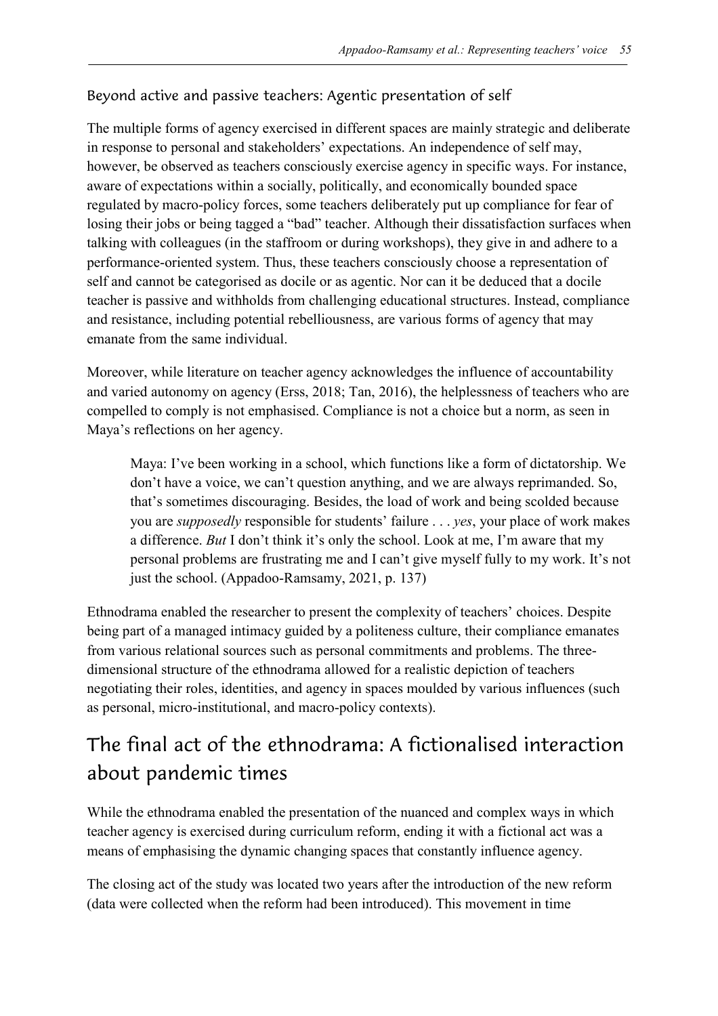#### Beyond active and passive teachers: Agentic presentation of self

The multiple forms of agency exercised in different spaces are mainly strategic and deliberate in response to personal and stakeholders' expectations. An independence of self may, however, be observed as teachers consciously exercise agency in specific ways. For instance, aware of expectations within a socially, politically, and economically bounded space regulated by macro-policy forces, some teachers deliberately put up compliance for fear of losing their jobs or being tagged a "bad" teacher. Although their dissatisfaction surfaces when talking with colleagues (in the staffroom or during workshops), they give in and adhere to a performance-oriented system. Thus, these teachers consciously choose a representation of self and cannot be categorised as docile or as agentic. Nor can it be deduced that a docile teacher is passive and withholds from challenging educational structures. Instead, compliance and resistance, including potential rebelliousness, are various forms of agency that may emanate from the same individual.

Moreover, while literature on teacher agency acknowledges the influence of accountability and varied autonomy on agency (Erss, 2018; Tan, 2016), the helplessness of teachers who are compelled to comply is not emphasised. Compliance is not a choice but a norm, as seen in Maya's reflections on her agency.

Maya: I've been working in a school, which functions like a form of dictatorship. We don't have a voice, we can't question anything, and we are always reprimanded. So, that's sometimes discouraging. Besides, the load of work and being scolded because you are *supposedly* responsible for students' failure . . . *yes*, your place of work makes a difference. *But* I don't think it's only the school. Look at me, I'm aware that my personal problems are frustrating me and I can't give myself fully to my work. It's not just the school. (Appadoo-Ramsamy, 2021, p. 137)

Ethnodrama enabled the researcher to present the complexity of teachers' choices. Despite being part of a managed intimacy guided by a politeness culture, their compliance emanates from various relational sources such as personal commitments and problems. The threedimensional structure of the ethnodrama allowed for a realistic depiction of teachers negotiating their roles, identities, and agency in spaces moulded by various influences (such as personal, micro-institutional, and macro-policy contexts).

# The final act of the ethnodrama: A fictionalised interaction about pandemic times

While the ethnodrama enabled the presentation of the nuanced and complex ways in which teacher agency is exercised during curriculum reform, ending it with a fictional act was a means of emphasising the dynamic changing spaces that constantly influence agency.

The closing act of the study was located two years after the introduction of the new reform (data were collected when the reform had been introduced). This movement in time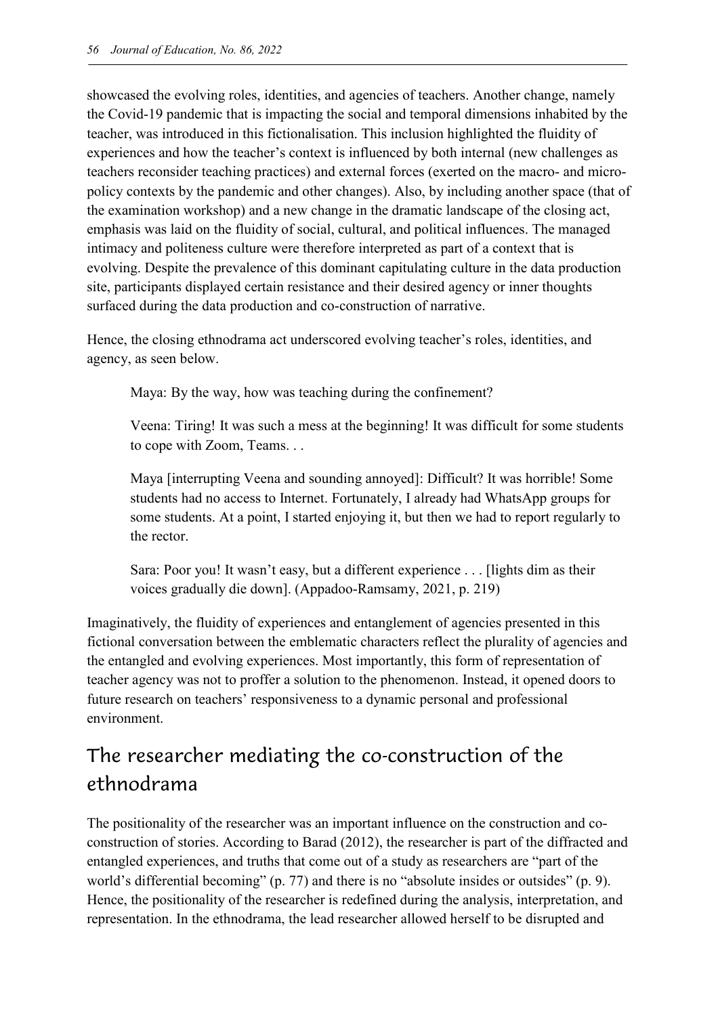showcased the evolving roles, identities, and agencies of teachers. Another change, namely the Covid-19 pandemic that is impacting the social and temporal dimensions inhabited by the teacher, was introduced in this fictionalisation. This inclusion highlighted the fluidity of experiences and how the teacher's context is influenced by both internal (new challenges as teachers reconsider teaching practices) and external forces (exerted on the macro- and micropolicy contexts by the pandemic and other changes). Also, by including another space (that of the examination workshop) and a new change in the dramatic landscape of the closing act, emphasis was laid on the fluidity of social, cultural, and political influences. The managed intimacy and politeness culture were therefore interpreted as part of a context that is evolving. Despite the prevalence of this dominant capitulating culture in the data production site, participants displayed certain resistance and their desired agency or inner thoughts surfaced during the data production and co-construction of narrative.

Hence, the closing ethnodrama act underscored evolving teacher's roles, identities, and agency, as seen below.

Maya: By the way, how was teaching during the confinement?

Veena: Tiring! It was such a mess at the beginning! It was difficult for some students to cope with Zoom, Teams. . .

Maya [interrupting Veena and sounding annoyed]: Difficult? It was horrible! Some students had no access to Internet. Fortunately, I already had WhatsApp groups for some students. At a point, I started enjoying it, but then we had to report regularly to the rector.

Sara: Poor you! It wasn't easy, but a different experience . . . [lights dim as their voices gradually die down]. (Appadoo-Ramsamy, 2021, p. 219)

Imaginatively, the fluidity of experiences and entanglement of agencies presented in this fictional conversation between the emblematic characters reflect the plurality of agencies and the entangled and evolving experiences. Most importantly, this form of representation of teacher agency was not to proffer a solution to the phenomenon. Instead, it opened doors to future research on teachers' responsiveness to a dynamic personal and professional environment.

# The researcher mediating the co-construction of the ethnodrama

The positionality of the researcher was an important influence on the construction and coconstruction of stories. According to Barad (2012), the researcher is part of the diffracted and entangled experiences, and truths that come out of a study as researchers are "part of the world's differential becoming" (p. 77) and there is no "absolute insides or outsides" (p. 9). Hence, the positionality of the researcher is redefined during the analysis, interpretation, and representation. In the ethnodrama, the lead researcher allowed herself to be disrupted and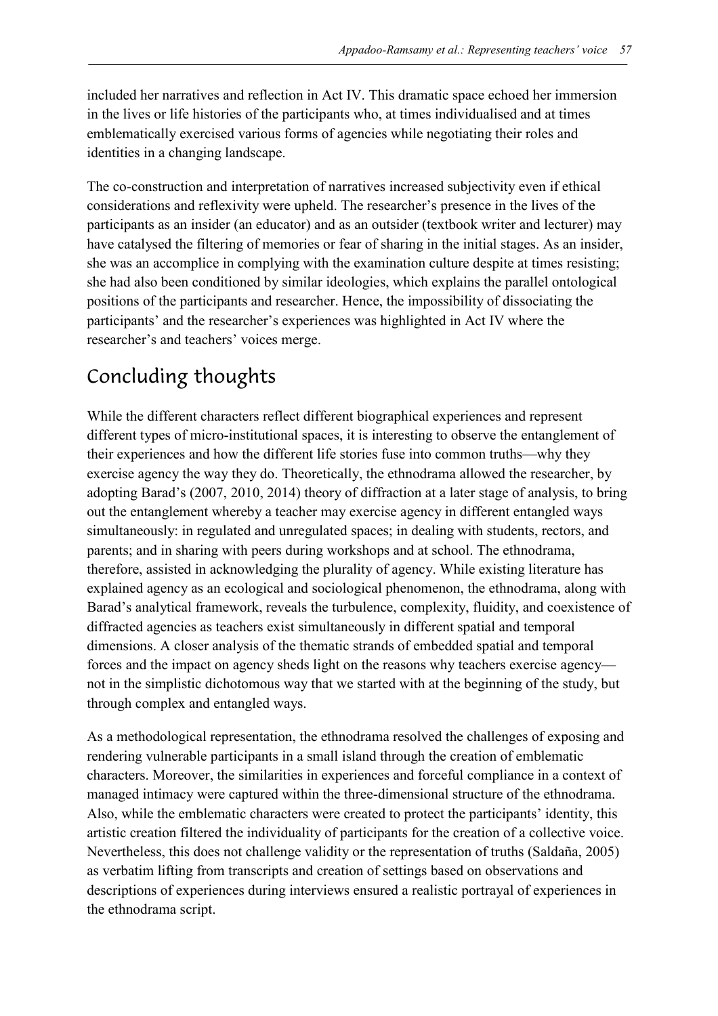included her narratives and reflection in Act IV. This dramatic space echoed her immersion in the lives or life histories of the participants who, at times individualised and at times emblematically exercised various forms of agencies while negotiating their roles and identities in a changing landscape.

The co-construction and interpretation of narratives increased subjectivity even if ethical considerations and reflexivity were upheld. The researcher's presence in the lives of the participants as an insider (an educator) and as an outsider (textbook writer and lecturer) may have catalysed the filtering of memories or fear of sharing in the initial stages. As an insider, she was an accomplice in complying with the examination culture despite at times resisting; she had also been conditioned by similar ideologies, which explains the parallel ontological positions of the participants and researcher. Hence, the impossibility of dissociating the participants' and the researcher's experiences was highlighted in Act IV where the researcher's and teachers' voices merge.

# Concluding thoughts

While the different characters reflect different biographical experiences and represent different types of micro-institutional spaces, it is interesting to observe the entanglement of their experiences and how the different life stories fuse into common truths—why they exercise agency the way they do. Theoretically, the ethnodrama allowed the researcher, by adopting Barad's (2007, 2010, 2014) theory of diffraction at a later stage of analysis, to bring out the entanglement whereby a teacher may exercise agency in different entangled ways simultaneously: in regulated and unregulated spaces; in dealing with students, rectors, and parents; and in sharing with peers during workshops and at school. The ethnodrama, therefore, assisted in acknowledging the plurality of agency. While existing literature has explained agency as an ecological and sociological phenomenon, the ethnodrama, along with Barad's analytical framework, reveals the turbulence, complexity, fluidity, and coexistence of diffracted agencies as teachers exist simultaneously in different spatial and temporal dimensions. A closer analysis of the thematic strands of embedded spatial and temporal forces and the impact on agency sheds light on the reasons why teachers exercise agency not in the simplistic dichotomous way that we started with at the beginning of the study, but through complex and entangled ways.

As a methodological representation, the ethnodrama resolved the challenges of exposing and rendering vulnerable participants in a small island through the creation of emblematic characters. Moreover, the similarities in experiences and forceful compliance in a context of managed intimacy were captured within the three-dimensional structure of the ethnodrama. Also, while the emblematic characters were created to protect the participants' identity, this artistic creation filtered the individuality of participants for the creation of a collective voice. Nevertheless, this does not challenge validity or the representation of truths (Saldaña, 2005) as verbatim lifting from transcripts and creation of settings based on observations and descriptions of experiences during interviews ensured a realistic portrayal of experiences in the ethnodrama script.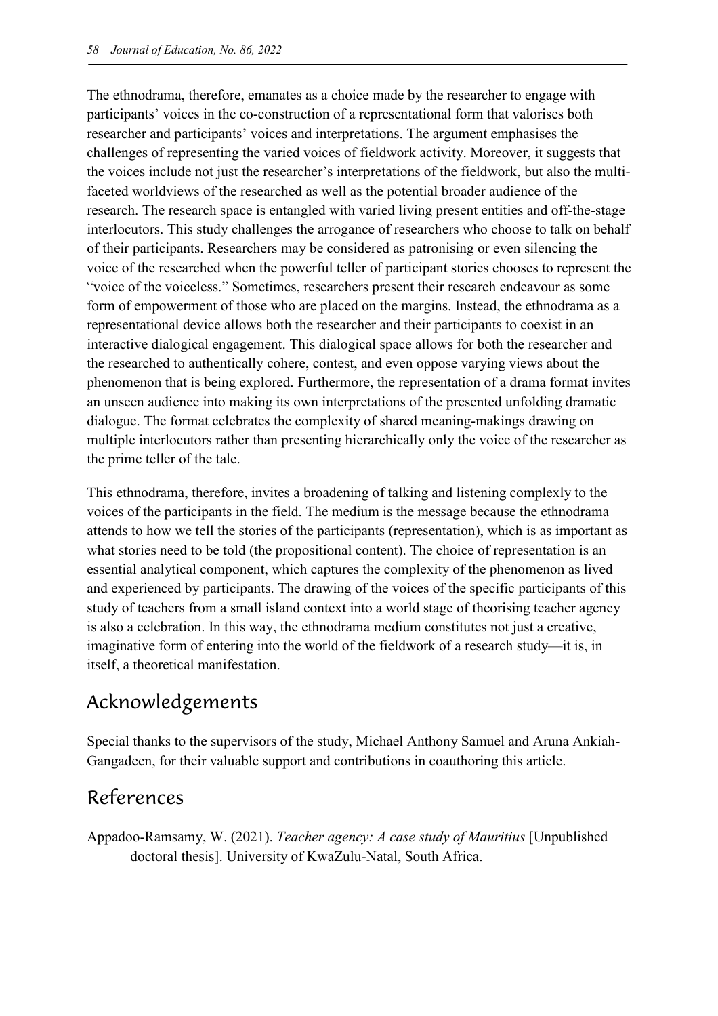The ethnodrama, therefore, emanates as a choice made by the researcher to engage with participants' voices in the co-construction of a representational form that valorises both researcher and participants' voices and interpretations. The argument emphasises the challenges of representing the varied voices of fieldwork activity. Moreover, it suggests that the voices include not just the researcher's interpretations of the fieldwork, but also the multifaceted worldviews of the researched as well as the potential broader audience of the research. The research space is entangled with varied living present entities and off-the-stage interlocutors. This study challenges the arrogance of researchers who choose to talk on behalf of their participants. Researchers may be considered as patronising or even silencing the voice of the researched when the powerful teller of participant stories chooses to represent the "voice of the voiceless." Sometimes, researchers present their research endeavour as some form of empowerment of those who are placed on the margins. Instead, the ethnodrama as a representational device allows both the researcher and their participants to coexist in an interactive dialogical engagement. This dialogical space allows for both the researcher and the researched to authentically cohere, contest, and even oppose varying views about the phenomenon that is being explored. Furthermore, the representation of a drama format invites an unseen audience into making its own interpretations of the presented unfolding dramatic dialogue. The format celebrates the complexity of shared meaning-makings drawing on multiple interlocutors rather than presenting hierarchically only the voice of the researcher as the prime teller of the tale.

This ethnodrama, therefore, invites a broadening of talking and listening complexly to the voices of the participants in the field. The medium is the message because the ethnodrama attends to how we tell the stories of the participants (representation), which is as important as what stories need to be told (the propositional content). The choice of representation is an essential analytical component, which captures the complexity of the phenomenon as lived and experienced by participants. The drawing of the voices of the specific participants of this study of teachers from a small island context into a world stage of theorising teacher agency is also a celebration. In this way, the ethnodrama medium constitutes not just a creative, imaginative form of entering into the world of the fieldwork of a research study—it is, in itself, a theoretical manifestation.

## Acknowledgements

Special thanks to the supervisors of the study, Michael Anthony Samuel and Aruna Ankiah-Gangadeen, for their valuable support and contributions in coauthoring this article.

## References

Appadoo-Ramsamy, W. (2021). *Teacher agency: A case study of Mauritius* [Unpublished doctoral thesis]. University of KwaZulu-Natal, South Africa.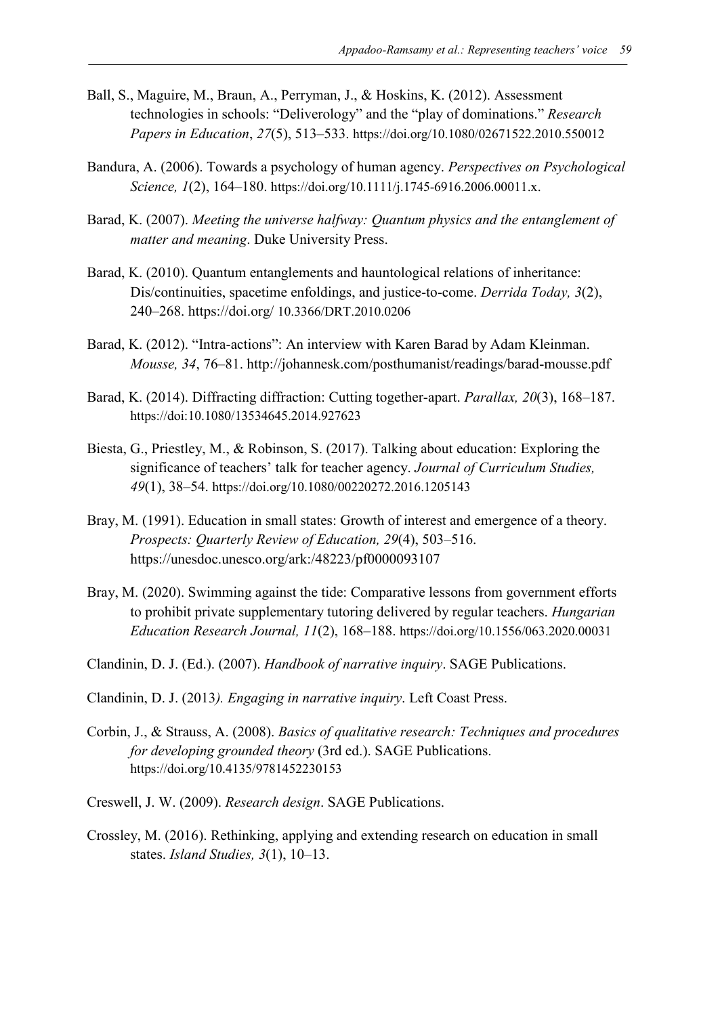- Ball, S., Maguire, M., Braun, A., Perryman, J., & Hoskins, K. (2012). Assessment technologies in schools: "Deliverology" and the "play of dominations." *Research Papers in Education*, *27*(5), 513–533. https://doi.org/10.1080/02671522.2010.550012
- Bandura, A. (2006). Towards a psychology of human agency. *Perspectives on Psychological Science, 1*(2), 164–180. https://doi.org/10.1111/j.1745-6916.2006.00011.x.
- Barad, K. (2007). *Meeting the universe halfway: Quantum physics and the entanglement of matter and meaning*. Duke University Press.
- Barad, K. (2010). Quantum entanglements and hauntological relations of inheritance: Dis/continuities, spacetime enfoldings, and justice-to-come. *Derrida Today, 3*(2), 240–268. https://doi.org/ 10.3366/DRT.2010.0206
- Barad, K. (2012). "Intra-actions": An interview with Karen Barad by Adam Kleinman. *Mousse, 34*, 76–81. http://johannesk.com/posthumanist/readings/barad-mousse.pdf
- Barad, K. (2014). Diffracting diffraction: Cutting together-apart. *Parallax, 20*(3), 168–187. https://doi:10.1080/13534645.2014.927623
- Biesta, G., Priestley, M., & Robinson, S. (2017). Talking about education: Exploring the significance of teachers' talk for teacher agency. *Journal of Curriculum Studies, 49*(1), 38–54. https://doi.org/10.1080/00220272.2016.1205143
- Bray, M. (1991). Education in small states: Growth of interest and emergence of a theory. *Prospects: Quarterly Review of Education, 29*(4), 503–516. https://unesdoc.unesco.org/ark:/48223/pf0000093107
- Bray, M. (2020). Swimming against the tide: Comparative lessons from government efforts to prohibit private supplementary tutoring delivered by regular teachers. *Hungarian Education Research Journal, 11*(2), 168–188. https://doi.org/10.1556/063.2020.00031
- Clandinin, D. J. (Ed.). (2007). *Handbook of narrative inquiry*. SAGE Publications.
- Clandinin, D. J. (2013*). Engaging in narrative inquiry*. Left Coast Press.
- Corbin, J., & Strauss, A. (2008). *Basics of qualitative research: Techniques and procedures for developing grounded theory* (3rd ed.). SAGE Publications. https://doi.org/10.4135/9781452230153
- Creswell, J. W. (2009). *Research design*. SAGE Publications.
- Crossley, M. (2016). Rethinking, applying and extending research on education in small states. *Island Studies, 3*(1), 10–13.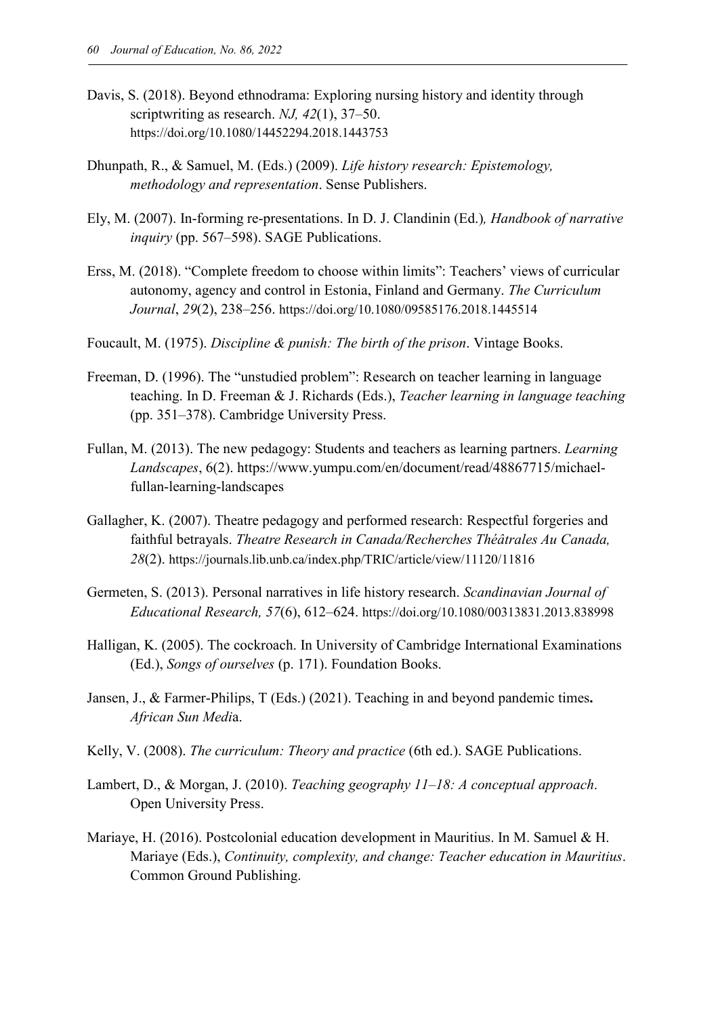- Davis, S. (2018). Beyond ethnodrama: Exploring nursing history and identity through scriptwriting as research. *NJ, 42*(1), 37–50. https://doi.org/10.1080/14452294.2018.1443753
- Dhunpath, R., & Samuel, M. (Eds.) (2009). *Life history research: Epistemology, methodology and representation*. Sense Publishers.
- Ely, M. (2007). In-forming re-presentations. In D. J. Clandinin (Ed.)*, Handbook of narrative inquiry* (pp. 567–598). SAGE Publications.
- Erss, M. (2018). "Complete freedom to choose within limits": Teachers' views of curricular autonomy, agency and control in Estonia, Finland and Germany. *The Curriculum Journal*, *29*(2), 238–256. https://doi.org/10.1080/09585176.2018.1445514
- Foucault, M. (1975). *Discipline & punish: The birth of the prison*. Vintage Books.
- Freeman, D. (1996). The "unstudied problem": Research on teacher learning in language teaching. In D. Freeman & J. Richards (Eds.), *Teacher learning in language teaching* (pp. 351–378). Cambridge University Press.
- Fullan, M. (2013). The new pedagogy: Students and teachers as learning partners. *Learning Landscapes*, 6(2). https://www.yumpu.com/en/document/read/48867715/michaelfullan-learning-landscapes
- Gallagher, K. (2007). Theatre pedagogy and performed research: Respectful forgeries and faithful betrayals. *Theatre Research in Canada/Recherches Théâtrales Au Canada, 28*(2). https://journals.lib.unb.ca/index.php/TRIC/article/view/11120/11816
- Germeten, S. (2013). Personal narratives in life history research. *Scandinavian Journal of Educational Research, 57*(6), 612–624. https://doi.org/10.1080/00313831.2013.838998
- Halligan, K. (2005). The cockroach. In University of Cambridge International Examinations (Ed.), *Songs of ourselves* (p. 171). Foundation Books.
- Jansen, J., & Farmer-Philips, T (Eds.) (2021). Teaching in and beyond pandemic times**.** *African Sun Medi*a.
- Kelly, V. (2008). *The curriculum: Theory and practice* (6th ed.). SAGE Publications.
- Lambert, D., & Morgan, J. (2010). *Teaching geography 11–18: A conceptual approach*. Open University Press.
- Mariaye, H. (2016). Postcolonial education development in Mauritius. In M. Samuel & H. Mariaye (Eds.), *Continuity, complexity, and change: Teacher education in Mauritius*. Common Ground Publishing.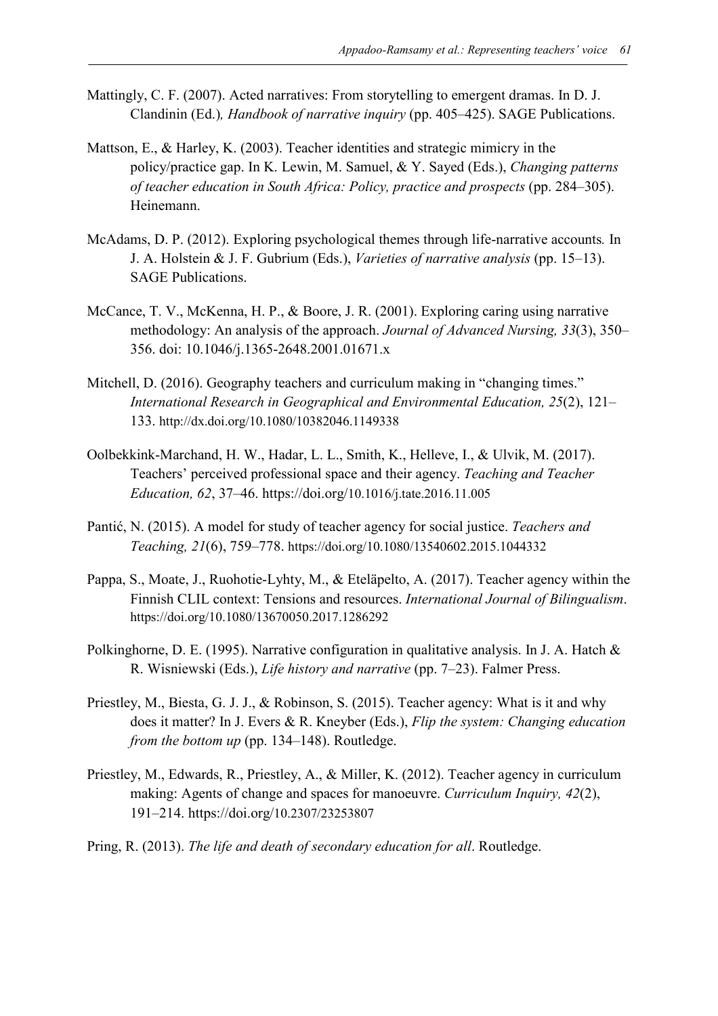- Mattingly, C. F. (2007). Acted narratives: From storytelling to emergent dramas. In D. J. Clandinin (Ed.)*, Handbook of narrative inquiry* (pp. 405–425). SAGE Publications.
- Mattson, E., & Harley, K. (2003). Teacher identities and strategic mimicry in the policy/practice gap. In K. Lewin, M. Samuel, & Y. Sayed (Eds.), *Changing patterns of teacher education in South Africa: Policy, practice and prospects* (pp. 284–305). Heinemann.
- McAdams, D. P. (2012). Exploring psychological themes through life-narrative accounts*.* In J. A. Holstein & J. F. Gubrium (Eds.), *Varieties of narrative analysis* (pp. 15–13). SAGE Publications.
- McCance, T. V., McKenna, H. P., & Boore, J. R. (2001). Exploring caring using narrative methodology: An analysis of the approach. *Journal of Advanced Nursing, 33*(3), 350– 356. doi: 10.1046/j.1365-2648.2001.01671.x
- Mitchell, D. (2016). Geography teachers and curriculum making in "changing times." *International Research in Geographical and Environmental Education, 25*(2), 121– 133. http://dx.doi.org/10.1080/10382046.1149338
- Oolbekkink-Marchand, H. W., Hadar, L. L., Smith, K., Helleve, I., & Ulvik, M. (2017). Teachers' perceived professional space and their agency. *Teaching and Teacher Education, 62*, 37–46. https://doi.org/10.1016/j.tate.2016.11.005
- Pantić, N. (2015). A model for study of teacher agency for social justice. *Teachers and Teaching, 21*(6), 759–778. https://doi.org/10.1080/13540602.2015.1044332
- Pappa, S., Moate, J., Ruohotie-Lyhty, M., & Eteläpelto, A. (2017). Teacher agency within the Finnish CLIL context: Tensions and resources. *International Journal of Bilingualism*. https://doi.org/10.1080/13670050.2017.1286292
- Polkinghorne, D. E. (1995). Narrative configuration in qualitative analysis. In J. A. Hatch & R. Wisniewski (Eds.), *Life history and narrative* (pp. 7–23). Falmer Press.
- Priestley, M., Biesta, G. J. J., & Robinson, S. (2015). Teacher agency: What is it and why does it matter? In J. Evers & R. Kneyber (Eds.), *Flip the system: Changing education from the bottom up* (pp. 134–148). Routledge.
- Priestley, M., Edwards, R., Priestley, A., & Miller, K. (2012). Teacher agency in curriculum making: Agents of change and spaces for manoeuvre. *Curriculum Inquiry, 42*(2), 191–214. https://doi.org/10.2307/23253807
- Pring, R. (2013). *The life and death of secondary education for all*. Routledge.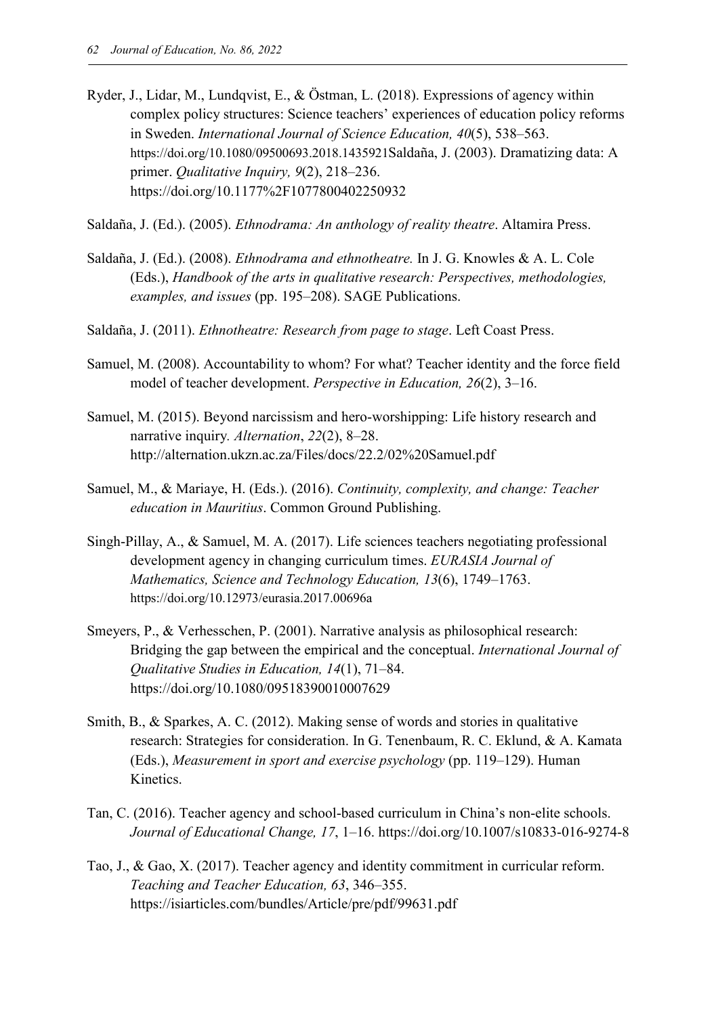Ryder, J., Lidar, M., Lundqvist, E., & Östman, L. (2018). Expressions of agency within complex policy structures: Science teachers' experiences of education policy reforms in Sweden. *International Journal of Science Education, 40*(5), 538–563. https://doi.org/10.1080/09500693.2018.1435921Saldaña, J. (2003). Dramatizing data: A primer. *Qualitative Inquiry, 9*(2), 218–236. https://doi.org/10.1177%2F1077800402250932

Saldaña, J. (Ed.). (2005). *Ethnodrama: An anthology of reality theatre*. Altamira Press.

- Saldaña, J. (Ed.). (2008). *Ethnodrama and ethnotheatre.* In J. G. Knowles & A. L. Cole (Eds.), *Handbook of the arts in qualitative research: Perspectives, methodologies, examples, and issues* (pp. 195–208). SAGE Publications.
- Saldaña, J. (2011). *Ethnotheatre: Research from page to stage*. Left Coast Press.
- Samuel, M. (2008). Accountability to whom? For what? Teacher identity and the force field model of teacher development. *Perspective in Education, 26*(2), 3–16.
- Samuel, M. (2015). Beyond narcissism and hero-worshipping: Life history research and narrative inquiry*. Alternation*, *22*(2), 8–28. http://alternation.ukzn.ac.za/Files/docs/22.2/02%20Samuel.pdf
- Samuel, M., & Mariaye, H. (Eds.). (2016). *Continuity, complexity, and change: Teacher education in Mauritius*. Common Ground Publishing.
- Singh-Pillay, A., & Samuel, M. A. (2017). Life sciences teachers negotiating professional development agency in changing curriculum times. *EURASIA Journal of Mathematics, Science and Technology Education, 13*(6), 1749–1763. https://doi.org/10.12973/eurasia.2017.00696a
- Smeyers, P., & Verhesschen, P. (2001). Narrative analysis as philosophical research: Bridging the gap between the empirical and the conceptual. *International Journal of Qualitative Studies in Education, 14*(1), 71–84. https://doi.org/10.1080/09518390010007629
- Smith, B., & Sparkes, A. C. (2012). Making sense of words and stories in qualitative research: Strategies for consideration. In G. Tenenbaum, R. C. Eklund, & A. Kamata (Eds.), *Measurement in sport and exercise psychology* (pp. 119–129). Human Kinetics.
- Tan, C. (2016). Teacher agency and school-based curriculum in China's non-elite schools. *Journal of Educational Change, 17*, 1–16. https://doi.org/10.1007/s10833-016-9274-8
- Tao, J., & Gao, X. (2017). Teacher agency and identity commitment in curricular reform. *Teaching and Teacher Education, 63*, 346–355. https://isiarticles.com/bundles/Article/pre/pdf/99631.pdf